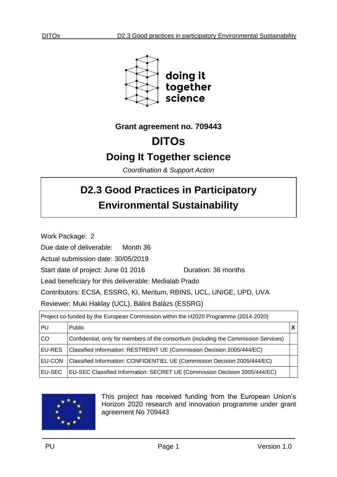

**Grant agreement no. 709443**

# **DITOs**

# **Doing It Together science**

*Coordination & Support Action*

# **D2.3 Good Practices in Participatory Environmental Sustainability**

Work Package: 2

Due date of deliverable: Month 36

Actual submission date: 30/05/2019

Start date of project: June 01 2016 Quration: 36 months

Lead beneficiary for this deliverable: Medialab Prado

Contributors: ECSA, ESSRG, KI, Meritum, RBINS, UCL, UNIGE, UPD, UVA

Reviewer: Muki Haklay (UCL), Bálint Balázs (ESSRG)

| Project co-funded by the European Commission within the H2020 Programme (2014-2020) |                                                                                      |  |  |
|-------------------------------------------------------------------------------------|--------------------------------------------------------------------------------------|--|--|
| PU                                                                                  | <b>Public</b>                                                                        |  |  |
| <b>CO</b>                                                                           | Confidential, only for members of the consortium (including the Commission Services) |  |  |
| <b>EU-RES</b>                                                                       | Classified Information: RESTREINT UE (Commission Decision 2005/444/EC)               |  |  |
| <b>EU-CON</b>                                                                       | Classified Information: CONFIDENTIEL UE (Commission Decision 2005/444/EC)            |  |  |
| <b>EU-SEC</b>                                                                       | EU-SEC Classified Information: SECRET UE (Commission Decision 2005/444/EC)           |  |  |



This project has received funding from the European Union's Horizon 2020 research and innovation programme under grant agreement No 709443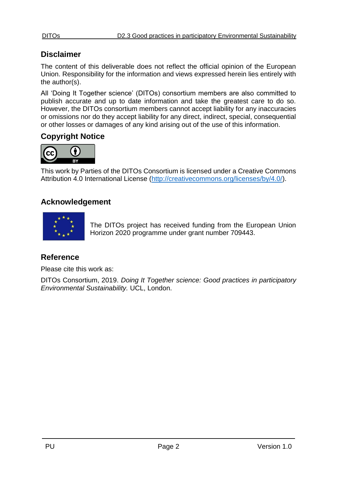# **Disclaimer**

The content of this deliverable does not reflect the official opinion of the European Union. Responsibility for the information and views expressed herein lies entirely with the author(s).

All 'Doing It Together science' (DITOs) consortium members are also committed to publish accurate and up to date information and take the greatest care to do so. However, the DITOs consortium members cannot accept liability for any inaccuracies or omissions nor do they accept liability for any direct, indirect, special, consequential or other losses or damages of any kind arising out of the use of this information.

# **Copyright Notice**



This work by Parties of the DITOs Consortium is licensed under a Creative Commons Attribution 4.0 International License [\(http://creativecommons.org/licenses/by/4.0/\)](http://creativecommons.org/licenses/by/4.0/).

# **Acknowledgement**



The DITOs project has received funding from the European Union Horizon 2020 programme under grant number 709443.

# **Reference**

Please cite this work as:

DITOs Consortium, 2019. *Doing It Together science: Good practices in participatory Environmental Sustainability.* UCL, London.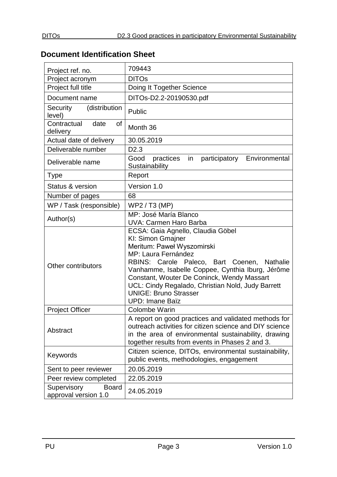# <span id="page-2-0"></span>**Document Identification Sheet**

| Project ref. no.                                    | 709443                                                                                                                                                                                                                                                                                                                                                                      |  |  |
|-----------------------------------------------------|-----------------------------------------------------------------------------------------------------------------------------------------------------------------------------------------------------------------------------------------------------------------------------------------------------------------------------------------------------------------------------|--|--|
| Project acronym                                     | <b>DITOs</b>                                                                                                                                                                                                                                                                                                                                                                |  |  |
| Project full title                                  | Doing It Together Science                                                                                                                                                                                                                                                                                                                                                   |  |  |
| Document name                                       | DITOs-D2.2-20190530.pdf                                                                                                                                                                                                                                                                                                                                                     |  |  |
| (distribution<br>Security<br>level)                 | Public                                                                                                                                                                                                                                                                                                                                                                      |  |  |
| Contractual<br><b>of</b><br>date<br>delivery        | Month 36                                                                                                                                                                                                                                                                                                                                                                    |  |  |
| Actual date of delivery                             | 30.05.2019                                                                                                                                                                                                                                                                                                                                                                  |  |  |
| Deliverable number                                  | D <sub>2.3</sub>                                                                                                                                                                                                                                                                                                                                                            |  |  |
| Deliverable name                                    | practices in<br>participatory Environmental<br>Good<br>Sustainability                                                                                                                                                                                                                                                                                                       |  |  |
| <b>Type</b>                                         | Report                                                                                                                                                                                                                                                                                                                                                                      |  |  |
| Status & version                                    | Version 1.0                                                                                                                                                                                                                                                                                                                                                                 |  |  |
| Number of pages                                     | 68                                                                                                                                                                                                                                                                                                                                                                          |  |  |
| WP / Task (responsible)                             | WP2 / T3 (MP)                                                                                                                                                                                                                                                                                                                                                               |  |  |
| Author(s)                                           | MP: José María Blanco<br><b>UVA: Carmen Haro Barba</b>                                                                                                                                                                                                                                                                                                                      |  |  |
| Other contributors                                  | ECSA: Gaia Agnello, Claudia Göbel<br>KI: Simon Gmajner<br>Meritum: Paweł Wyszomirski<br>MP: Laura Fernández<br>RBINS: Carole Paleco, Bart Coenen, Nathalie<br>Vanhamme, Isabelle Coppee, Cynthia Iburg, Jérôme<br>Constant, Wouter De Coninck, Wendy Massart<br>UCL: Cindy Regalado, Christian Nold, Judy Barrett<br><b>UNIGE: Bruno Strasser</b><br><b>UPD: Imane Baïz</b> |  |  |
| <b>Project Officer</b>                              | <b>Colombe Warin</b>                                                                                                                                                                                                                                                                                                                                                        |  |  |
| Abstract                                            | A report on good practices and validated methods for<br>outreach activities for citizen science and DIY science<br>in the area of environmental sustainability, drawing<br>together results from events in Phases 2 and 3.                                                                                                                                                  |  |  |
| Keywords                                            | Citizen science, DITOs, environmental sustainability,<br>public events, methodologies, engagement                                                                                                                                                                                                                                                                           |  |  |
| Sent to peer reviewer                               | 20.05.2019                                                                                                                                                                                                                                                                                                                                                                  |  |  |
| Peer review completed                               | 22.05.2019                                                                                                                                                                                                                                                                                                                                                                  |  |  |
| Supervisory<br><b>Board</b><br>approval version 1.0 | 24.05.2019                                                                                                                                                                                                                                                                                                                                                                  |  |  |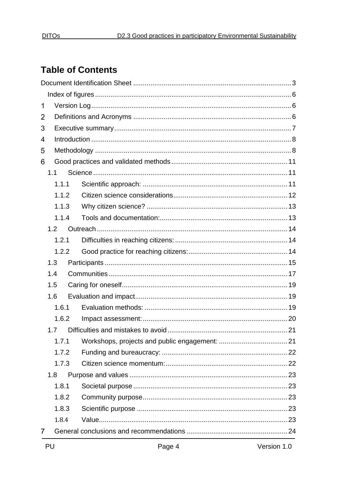# **Table of Contents**

| 1              |       |  |  |
|----------------|-------|--|--|
| $\overline{2}$ |       |  |  |
| 3              |       |  |  |
| 4              |       |  |  |
| 5              |       |  |  |
| 6              |       |  |  |
|                | 1.1   |  |  |
|                | 1.1.1 |  |  |
|                | 1.1.2 |  |  |
|                | 1.1.3 |  |  |
|                | 1.1.4 |  |  |
|                | 1.2   |  |  |
|                | 1.2.1 |  |  |
|                | 1.2.2 |  |  |
|                | 1.3   |  |  |
|                | 1.4   |  |  |
|                | 1.5   |  |  |
|                | 1.6   |  |  |
|                | 1.6.1 |  |  |
|                | 1.6.2 |  |  |
|                | 1.7   |  |  |
|                | 1.7.1 |  |  |
|                | 1.7.2 |  |  |
|                | 1.7.3 |  |  |
|                | 1.8   |  |  |
|                | 1.8.1 |  |  |
|                | 1.8.2 |  |  |
|                | 1.8.3 |  |  |
|                | 1.8.4 |  |  |
| 7              |       |  |  |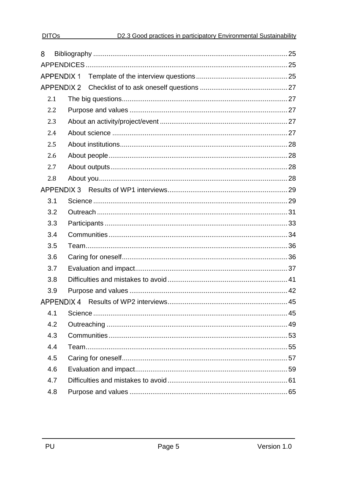| 8   |     |                   |  |  |
|-----|-----|-------------------|--|--|
|     |     |                   |  |  |
|     |     | <b>APPENDIX 1</b> |  |  |
|     |     |                   |  |  |
|     | 2.1 |                   |  |  |
|     | 2.2 |                   |  |  |
| 2.3 |     |                   |  |  |
|     | 2.4 |                   |  |  |
|     | 2.5 |                   |  |  |
|     | 2.6 |                   |  |  |
|     | 2.7 |                   |  |  |
|     | 2.8 |                   |  |  |
|     |     | <b>APPENDIX 3</b> |  |  |
| 3.1 |     |                   |  |  |
|     | 3.2 |                   |  |  |
|     | 3.3 |                   |  |  |
|     | 3.4 |                   |  |  |
|     | 3.5 |                   |  |  |
|     | 3.6 |                   |  |  |
|     | 3.7 |                   |  |  |
|     | 3.8 |                   |  |  |
|     | 3.9 |                   |  |  |
|     |     |                   |  |  |
| 4.1 |     |                   |  |  |
|     | 4.2 |                   |  |  |
|     | 4.3 |                   |  |  |
|     | 4.4 |                   |  |  |
|     | 4.5 |                   |  |  |
|     | 4.6 |                   |  |  |
|     | 4.7 |                   |  |  |
|     | 4.8 |                   |  |  |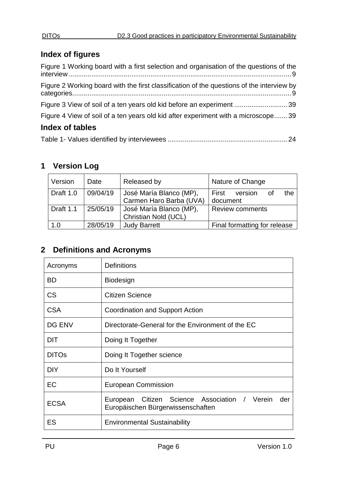# <span id="page-5-0"></span>**Index of figures**

| Figure 1 Working board with a first selection and organisation of the questions of the    |  |
|-------------------------------------------------------------------------------------------|--|
| Figure 2 Working board with the first classification of the questions of the interview by |  |
| Figure 3 View of soil of a ten years old kid before an experiment  39                     |  |
| Figure 4 View of soil of a ten years old kid after experiment with a microscope39         |  |
| <b>Index of tables</b>                                                                    |  |

|--|--|

# <span id="page-5-1"></span>**1 Version Log**

| Version   | Date     | Released by                                        | Nature of Change                    |
|-----------|----------|----------------------------------------------------|-------------------------------------|
| Draft 1.0 | 09/04/19 | José María Blanco (MP),<br>Carmen Haro Barba (UVA) | the<br>First<br>version<br>document |
| Draft 1.1 | 25/05/19 | José María Blanco (MP),<br>Christian Nold (UCL)    | <b>Review comments</b>              |
| 1.0       | 28/05/19 | <b>Judy Barrett</b>                                | Final formatting for release        |

# <span id="page-5-2"></span>**2 Definitions and Acronyms**

| Acronyms      | <b>Definitions</b>                                                                              |  |  |  |  |
|---------------|-------------------------------------------------------------------------------------------------|--|--|--|--|
| <b>BD</b>     | <b>Biodesign</b>                                                                                |  |  |  |  |
| <b>CS</b>     | Citizen Science                                                                                 |  |  |  |  |
| <b>CSA</b>    | <b>Coordination and Support Action</b>                                                          |  |  |  |  |
| <b>DG ENV</b> | Directorate-General for the Environment of the EC                                               |  |  |  |  |
| <b>DIT</b>    | Doing It Together                                                                               |  |  |  |  |
| <b>DITOs</b>  | Doing It Together science                                                                       |  |  |  |  |
| <b>DIY</b>    | Do It Yourself                                                                                  |  |  |  |  |
| EC            | <b>European Commission</b>                                                                      |  |  |  |  |
| <b>ECSA</b>   | Citizen Science Association /<br>Verein<br>European<br>der<br>Europäischen Bürgerwissenschaften |  |  |  |  |
| ES            | <b>Environmental Sustainability</b>                                                             |  |  |  |  |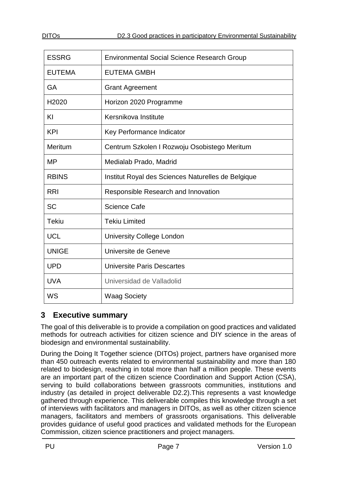| <b>ESSRG</b>      | <b>Environmental Social Science Research Group</b> |  |  |
|-------------------|----------------------------------------------------|--|--|
| <b>EUTEMA</b>     | <b>EUTEMA GMBH</b>                                 |  |  |
| <b>GA</b>         | <b>Grant Agreement</b>                             |  |  |
| H <sub>2020</sub> | Horizon 2020 Programme                             |  |  |
| KI                | Kersnikova Institute                               |  |  |
| <b>KPI</b>        | Key Performance Indicator                          |  |  |
| Meritum           | Centrum Szkolen I Rozwoju Osobistego Meritum       |  |  |
| <b>MP</b>         | Medialab Prado, Madrid                             |  |  |
| <b>RBINS</b>      | Institut Royal des Sciences Naturelles de Belgique |  |  |
| <b>RRI</b>        | Responsible Research and Innovation                |  |  |
| <b>SC</b>         | <b>Science Cafe</b>                                |  |  |
| <b>Tekiu</b>      | <b>Tekiu Limited</b>                               |  |  |
| <b>UCL</b>        | <b>University College London</b>                   |  |  |
| <b>UNIGE</b>      | Universite de Geneve                               |  |  |
| <b>UPD</b>        | <b>Universite Paris Descartes</b>                  |  |  |
| <b>UVA</b>        | Universidad de Valladolid                          |  |  |
| WS                | <b>Waag Society</b>                                |  |  |

# <span id="page-6-0"></span>**3 Executive summary**

The goal of this deliverable is to provide a compilation on good practices and validated methods for outreach activities for citizen science and DIY science in the areas of biodesign and environmental sustainability.

During the Doing It Together science (DITOs) project, partners have organised more than 450 outreach events related to environmental sustainability and more than 180 related to biodesign, reaching in total more than half a million people. These events are an important part of the citizen science Coordination and Support Action (CSA), serving to build collaborations between grassroots communities, institutions and industry (as detailed in project deliverable D2.2).This represents a vast knowledge gathered through experience. This deliverable compiles this knowledge through a set of interviews with facilitators and managers in DITOs, as well as other citizen science managers, facilitators and members of grassroots organisations. This deliverable provides guidance of useful good practices and validated methods for the European Commission, citizen science practitioners and project managers.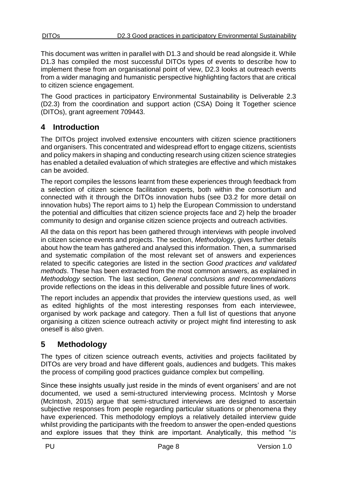This document was written in parallel with D1.3 and should be read alongside it. While D1.3 has compiled the most successful DITOs types of events to describe how to implement these from an organisational point of view, D2.3 looks at outreach events from a wider managing and humanistic perspective highlighting factors that are critical to citizen science engagement.

The Good practices in participatory Environmental Sustainability is Deliverable 2.3 (D2.3) from the coordination and support action (CSA) Doing It Together science (DITOs), grant agreement 709443.

# <span id="page-7-0"></span>**4 Introduction**

The DITOs project involved extensive encounters with citizen science practitioners and organisers. This concentrated and widespread effort to engage citizens, scientists and policy makers in shaping and conducting research using citizen science strategies has enabled a detailed evaluation of which strategies are effective and which mistakes can be avoided.

The report compiles the lessons learnt from these experiences through feedback from a selection of citizen science facilitation experts, both within the consortium and connected with it through the DITOs innovation hubs (see D3.2 for more detail on innovation hubs) The report aims to 1) help the European Commission to understand the potential and difficulties that citizen science projects face and 2) help the broader community to design and organise citizen science projects and outreach activities.

All the data on this report has been gathered through interviews with people involved in citizen science events and projects. The section, *Methodology*, gives further details about how the team has gathered and analysed this information. Then, a summarised and systematic compilation of the most relevant set of answers and experiences related to specific categories are listed in the section *Good practices and validated methods*. These has been extracted from the most common answers, as explained in *Methodology* section. The last section, *General conclusions and recommendations*  provide reflections on the ideas in this deliverable and possible future lines of work.

The report includes an appendix that provides the interview questions used, as well as edited highlights of the most interesting responses from each interviewee, organised by work package and category. Then a full list of questions that anyone organising a citizen science outreach activity or project might find interesting to ask oneself is also given.

# <span id="page-7-1"></span>**5 Methodology**

The types of citizen science outreach events, activities and projects facilitated by DITOs are very broad and have different goals, audiences and budgets. This makes the process of compiling good practices guidance complex but compelling.

Since these insights usually just reside in the minds of event organisers' and are not documented, we used a semi-structured interviewing process. McIntosh y Morse (McIntosh, 2015) argue that semi-structured interviews are designed to ascertain subjective responses from people regarding particular situations or phenomena they have experienced. This methodology employs a relatively detailed interview guide whilst providing the participants with the freedom to answer the open-ended questions and explore issues that they think are important. Analytically, this method "*is*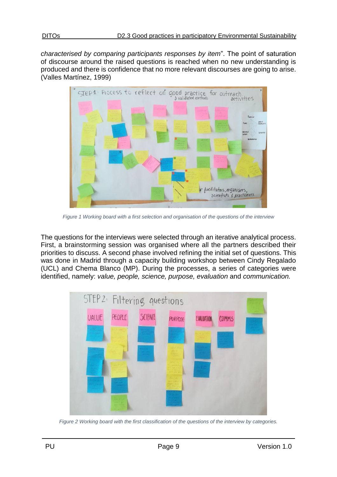*characterised by comparing participants responses by item*". The point of saturation of discourse around the raised questions is reached when no new understanding is produced and there is confidence that no more relevant discourses are going to arise. (Valles Martínez, 1999)



*Figure 1 Working board with a first selection and organisation of the questions of the interview*

<span id="page-8-0"></span>The questions for the interviews were selected through an iterative analytical process. First, a brainstorming session was organised where all the partners described their priorities to discuss. A second phase involved refining the initial set of questions. This was done in Madrid through a capacity building workshop between Cindy Regalado (UCL) and Chema Blanco (MP). During the processes, a series of categories were identified, namely: *value, people, science, purpose, evaluation* and *communication.* 



<span id="page-8-1"></span>*Figure 2 Working board with the first classification of the questions of the interview by categories.*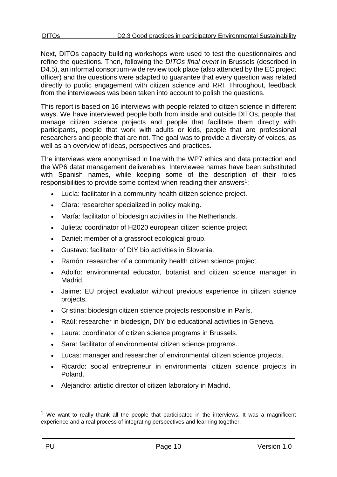Next, DITOs capacity building workshops were used to test the questionnaires and refine the questions. Then, following the *DITOs final event* in Brussels (described in D4.5), an informal consortium-wide review took place (also attended by the EC project officer) and the questions were adapted to guarantee that every question was related directly to public engagement with citizen science and RRI. Throughout, feedback from the interviewees was been taken into account to polish the questions.

This report is based on 16 interviews with people related to citizen science in different ways. We have interviewed people both from inside and outside DITOs, people that manage citizen science projects and people that facilitate them directly with participants, people that work with adults or kids, people that are professional researchers and people that are not. The goal was to provide a diversity of voices, as well as an overview of ideas, perspectives and practices.

The interviews were anonymised in line with the WP7 ethics and data protection and the WP6 datat management deliverables. Interviewee names have been substituted with Spanish names, while keeping some of the description of their roles responsibilities to provide some context when reading their answers<sup>1</sup>:

- Lucía: facilitator in a community health citizen science project.
- Clara: researcher specialized in policy making.
- María: facilitator of biodesign activities in The Netherlands.
- Julieta: coordinator of H2020 european citizen science project.
- Daniel: member of a grassroot ecological group.
- Gustavo: facilitator of DIY bio activities in Slovenia.
- Ramón: researcher of a community health citizen science project.
- Adolfo: environmental educator, botanist and citizen science manager in Madrid.
- Jaime: EU project evaluator without previous experience in citizen science projects.
- Cristina: biodesign citizen science projects responsible in París.
- Raúl: researcher in biodesign, DIY bio educational activities in Geneva.
- Laura: coordinator of citizen science programs in Brussels.
- Sara: facilitator of environmental citizen science programs.
- Lucas: manager and researcher of environmental citizen science projects.
- Ricardo: social entrepreneur in environmental citizen science projects in Poland.
- Alejandro: artistic director of citizen laboratory in Madrid.

1

 $1$  We want to really thank all the people that participated in the interviews. It was a magnificent experience and a real process of integrating perspectives and learning together.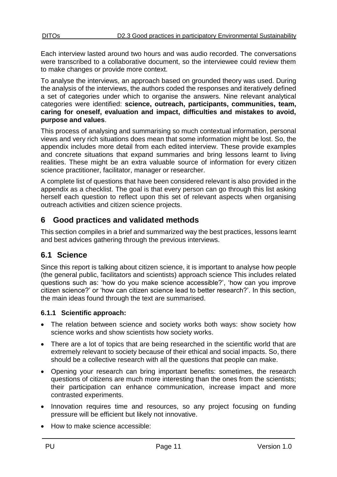Each interview lasted around two hours and was audio recorded. The conversations were transcribed to a collaborative document, so the interviewee could review them to make changes or provide more context.

To analyse the interviews, an approach based on grounded theory was used. During the analysis of the interviews, the authors coded the responses and iteratively defined a set of categories under which to organise the answers. Nine relevant analytical categories were identified: **science, outreach, participants, communities, team, caring for oneself, evaluation and impact, difficulties and mistakes to avoid, purpose and values**.

This process of analysing and summarising so much contextual information, personal views and very rich situations does mean that some information might be lost. So, the appendix includes more detail from each edited interview. These provide examples and concrete situations that expand summaries and bring lessons learnt to living realities. These might be an extra valuable source of information for every citizen science practitioner, facilitator, manager or researcher.

A complete list of questions that have been considered relevant is also provided in the appendix as a checklist. The goal is that every person can go through this list asking herself each question to reflect upon this set of relevant aspects when organising outreach activities and citizen science projects.

# <span id="page-10-0"></span>**6 Good practices and validated methods**

This section compiles in a brief and summarized way the best practices, lessons learnt and best advices gathering through the previous interviews.

# <span id="page-10-1"></span>**6.1 Science**

Since this report is talking about citizen science, it is important to analyse how people (the general public, facilitators and scientists) approach science This includes related questions such as: 'how do you make science accessible?', 'how can you improve citizen science?' or 'how can citizen science lead to better research?'. In this section, the main ideas found through the text are summarised.

#### <span id="page-10-2"></span>**6.1.1 Scientific approach:**

- The relation between science and society works both ways: show society how science works and show scientists how society works.
- There are a lot of topics that are being researched in the scientific world that are extremely relevant to society because of their ethical and social impacts. So, there should be a collective research with all the questions that people can make.
- Opening your research can bring important benefits: sometimes, the research questions of citizens are much more interesting than the ones from the scientists; their participation can enhance communication, increase impact and more contrasted experiments.
- Innovation requires time and resources, so any project focusing on funding pressure will be efficient but likely not innovative.
- How to make science accessible: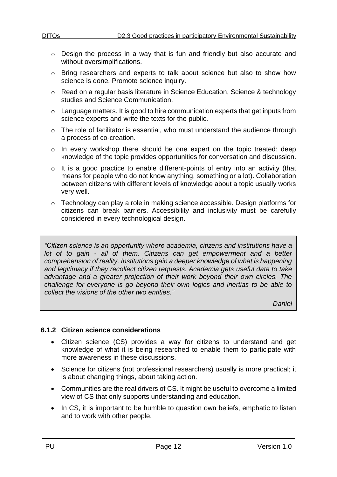- o Design the process in a way that is fun and friendly but also accurate and without oversimplifications.
- o Bring researchers and experts to talk about science but also to show how science is done. Promote science inquiry.
- o Read on a regular basis literature in Science Education, Science & technology studies and Science Communication.
- $\circ$  Language matters. It is good to hire communication experts that get inputs from science experts and write the texts for the public.
- o The role of facilitator is essential, who must understand the audience through a process of co-creation.
- o In every workshop there should be one expert on the topic treated: deep knowledge of the topic provides opportunities for conversation and discussion.
- o It is a good practice to enable different-points of entry into an activity (that means for people who do not know anything, something or a lot). Collaboration between citizens with different levels of knowledge about a topic usually works very well.
- o Technology can play a role in making science accessible. Design platforms for citizens can break barriers. Accessibility and inclusivity must be carefully considered in every technological design.

*"Citizen science is an opportunity where academia, citizens and institutions have a lot of to gain - all of them. Citizens can get empowerment and a better comprehension of reality. Institutions gain a deeper knowledge of what is happening and legitimacy if they recollect citizen requests. Academia gets useful data to take*  advantage and a greater projection of their work beyond their own circles. The *challenge for everyone is go beyond their own logics and inertias to be able to collect the visions of the other two entities."*

*Daniel*

### <span id="page-11-0"></span>**6.1.2 Citizen science considerations**

- Citizen science (CS) provides a way for citizens to understand and get knowledge of what it is being researched to enable them to participate with more awareness in these discussions.
- Science for citizens (not professional researchers) usually is more practical; it is about changing things, about taking action.
- Communities are the real drivers of CS. It might be useful to overcome a limited view of CS that only supports understanding and education.
- In CS, it is important to be humble to question own beliefs, emphatic to listen and to work with other people.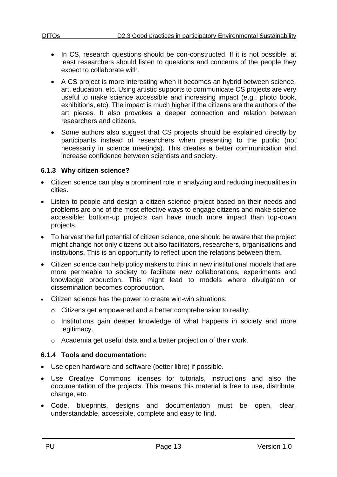- In CS, research questions should be con-constructed. If it is not possible, at least researchers should listen to questions and concerns of the people they expect to collaborate with.
- A CS project is more interesting when it becomes an hybrid between science, art, education, etc. Using artistic supports to communicate CS projects are very useful to make science accessible and increasing impact (e.g.: photo book, exhibitions, etc). The impact is much higher if the citizens are the authors of the art pieces. It also provokes a deeper connection and relation between researchers and citizens.
- Some authors also suggest that CS projects should be explained directly by participants instead of researchers when presenting to the public (not necessarily in science meetings). This creates a better communication and increase confidence between scientists and society.

#### <span id="page-12-0"></span>**6.1.3 Why citizen science?**

- Citizen science can play a prominent role in analyzing and reducing inequalities in cities.
- Listen to people and design a citizen science project based on their needs and problems are one of the most effective ways to engage citizens and make science accessible: bottom-up projects can have much more impact than top-down projects.
- To harvest the full potential of citizen science, one should be aware that the project might change not only citizens but also facilitators, researchers, organisations and institutions. This is an opportunity to reflect upon the relations between them.
- Citizen science can help policy makers to think in new institutional models that are more permeable to society to facilitate new collaborations, experiments and knowledge production. This might lead to models where divulgation or dissemination becomes coproduction.
- Citizen science has the power to create win-win situations:
	- o Citizens get empowered and a better comprehension to reality.
	- o Institutions gain deeper knowledge of what happens in society and more legitimacy.
	- o Academia get useful data and a better projection of their work.

#### <span id="page-12-1"></span>**6.1.4 Tools and documentation:**

- Use open hardware and software (better libre) if possible.
- Use Creative Commons licenses for tutorials, instructions and also the documentation of the projects. This means this material is free to use, distribute, change, etc.
- Code, blueprints, designs and documentation must be open, clear, understandable, accessible, complete and easy to find.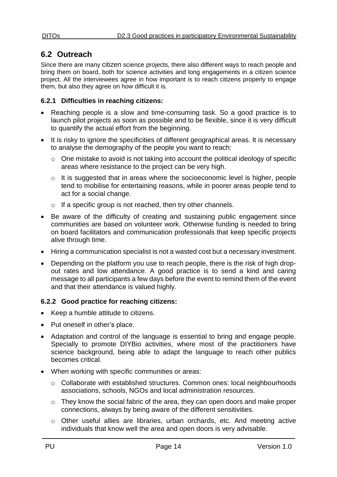# <span id="page-13-0"></span>**6.2 Outreach**

Since there are many citizen science projects, there also different ways to reach people and bring them on board, both for science activities and long engagements in a citizen science project. All the interviewees agree in how important is to reach citizens properly to engage them, but also they agree on how difficult it is.

#### <span id="page-13-1"></span>**6.2.1 Difficulties in reaching citizens:**

- Reaching people is a slow and time-consuming task. So a good practice is to launch pilot projects as soon as possible and to be flexible, since it is very difficult to quantify the actual effort from the beginning.
- It is risky to ignore the specificities of different geographical areas. It is necessary to analyse the demography of the people you want to reach:
	- o One mistake to avoid is not taking into account the political ideology of specific areas where resistance to the project can be very high.
	- o It is suggested that in areas where the socioeconomic level is higher, people tend to mobilise for entertaining reasons, while in poorer areas people tend to act for a social change.
	- o If a specific group is not reached, then try other channels.
- Be aware of the difficulty of creating and sustaining public engagement since communities are based on volunteer work. Otherwise funding is needed to bring on board facilitators and communication professionals that keep specific projects alive through time.
- Hiring a communication specialist is not a wasted cost but a necessary investment.
- Depending on the platform you use to reach people, there is the risk of high dropout rates and low attendance. A good practice is to send a kind and caring message to all participants a few days before the event to remind them of the event and that their attendance is valued highly.

### <span id="page-13-2"></span>**6.2.2 Good practice for reaching citizens:**

- Keep a humble attitude to citizens.
- Put oneself in other's place.
- Adaptation and control of the language is essential to bring and engage people. Specially to promote DIYBio activities, where most of the practitioners have science background, being able to adapt the language to reach other publics becomes critical.
- When working with specific communities or areas:
	- o Collaborate with established structures. Common ones: local neighbourhoods associations, schools, NGOs and local administration resources.
	- o They know the social fabric of the area, they can open doors and make proper connections, always by being aware of the different sensitivities.
	- o Other useful allies are libraries, urban orchards, etc. And meeting active individuals that know well the area and open doors is very advisable.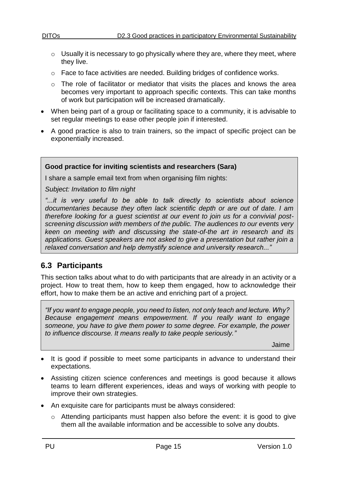- $\circ$  Usually it is necessary to go physically where they are, where they meet, where they live.
- o Face to face activities are needed. Building bridges of confidence works.
- o The role of facilitator or mediator that visits the places and knows the area becomes very important to approach specific contexts. This can take months of work but participation will be increased dramatically.
- When being part of a group or facilitating space to a community, it is advisable to set regular meetings to ease other people join if interested.
- A good practice is also to train trainers, so the impact of specific project can be exponentially increased.

#### **Good practice for inviting scientists and researchers (Sara)**

I share a sample email text from when organising film nights:

*Subject: Invitation to film night*

*"...it is very useful to be able to talk directly to scientists about science documentaries because they often lack scientific depth or are out of date. I am therefore looking for a guest scientist at our event to join us for a convivial postscreening discussion with members of the public. The audiences to our events very keen on meeting with and discussing the state-of-the art in research and its applications. Guest speakers are not asked to give a presentation but rather join a relaxed conversation and help demystify science and university research..."* 

# <span id="page-14-0"></span>**6.3 Participants**

This section talks about what to do with participants that are already in an activity or a project. How to treat them, how to keep them engaged, how to acknowledge their effort, how to make them be an active and enriching part of a project.

*"If you want to engage people, you need to listen, not only teach and lecture. Why? Because engagement means empowerment. If you really want to engage someone, you have to give them power to some degree. For example, the power to influence discourse. It means really to take people seriously."*

Jaime

- It is good if possible to meet some participants in advance to understand their expectations.
- Assisting citizen science conferences and meetings is good because it allows teams to learn different experiences, ideas and ways of working with people to improve their own strategies.
- An exquisite care for participants must be always considered:
	- o Attending participants must happen also before the event: it is good to give them all the available information and be accessible to solve any doubts.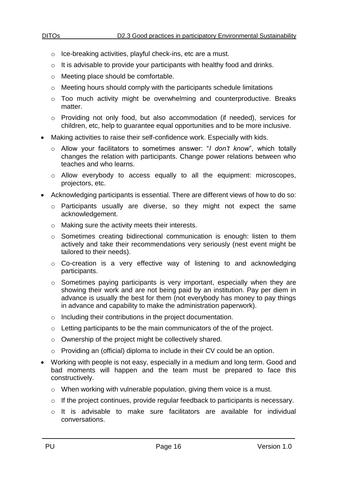- o Ice-breaking activities, playful check-ins, etc are a must.
- o It is advisable to provide your participants with healthy food and drinks.
- o Meeting place should be comfortable.
- o Meeting hours should comply with the participants schedule limitations
- $\circ$  Too much activity might be overwhelming and counterproductive. Breaks matter.
- o Providing not only food, but also accommodation (if needed), services for children, etc, help to guarantee equal opportunities and to be more inclusive.
- Making activities to raise their self-confidence work. Especially with kids.
	- o Allow your facilitators to sometimes answer: "*I don't know*", which totally changes the relation with participants. Change power relations between who teaches and who learns.
	- o Allow everybody to access equally to all the equipment: microscopes, projectors, etc.
- Acknowledging participants is essential. There are different views of how to do so:
	- o Participants usually are diverse, so they might not expect the same acknowledgement.
	- o Making sure the activity meets their interests.
	- $\circ$  Sometimes creating bidirectional communication is enough: listen to them actively and take their recommendations very seriously (nest event might be tailored to their needs).
	- o Co-creation is a very effective way of listening to and acknowledging participants.
	- o Sometimes paying participants is very important, especially when they are showing their work and are not being paid by an institution. Pay per diem in advance is usually the best for them (not everybody has money to pay things in advance and capability to make the administration paperwork).
	- o Including their contributions in the project documentation.
	- o Letting participants to be the main communicators of the of the project.
	- o Ownership of the project might be collectively shared.
	- o Providing an (official) diploma to include in their CV could be an option.
- Working with people is not easy, especially in a medium and long term. Good and bad moments will happen and the team must be prepared to face this constructively.
	- $\circ$  When working with vulnerable population, giving them voice is a must.
	- o If the project continues, provide regular feedback to participants is necessary.
	- o It is advisable to make sure facilitators are available for individual conversations.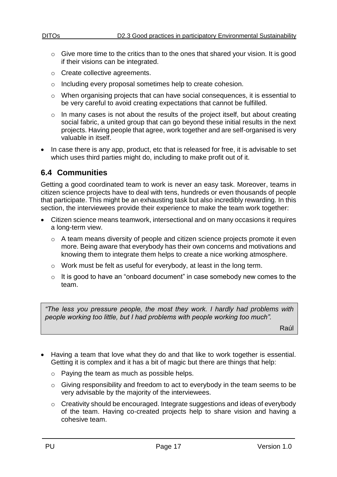- $\circ$  Give more time to the critics than to the ones that shared your vision. It is good if their visions can be integrated.
- o Create collective agreements.
- o Including every proposal sometimes help to create cohesion.
- o When organising projects that can have social consequences, it is essential to be very careful to avoid creating expectations that cannot be fulfilled.
- o In many cases is not about the results of the project itself, but about creating social fabric, a united group that can go beyond these initial results in the next projects. Having people that agree, work together and are self-organised is very valuable in itself.
- In case there is any app, product, etc that is released for free, it is advisable to set which uses third parties might do, including to make profit out of it.

# <span id="page-16-0"></span>**6.4 Communities**

Getting a good coordinated team to work is never an easy task. Moreover, teams in citizen science projects have to deal with tens, hundreds or even thousands of people that participate. This might be an exhausting task but also incredibly rewarding. In this section, the interviewees provide their experience to make the team work together:

- Citizen science means teamwork, intersectional and on many occasions it requires a long-term view.
	- o A team means diversity of people and citizen science projects promote it even more. Being aware that everybody has their own concerns and motivations and knowing them to integrate them helps to create a nice working atmosphere.
	- o Work must be felt as useful for everybody, at least in the long term.
	- $\circ$  It is good to have an "onboard document" in case somebody new comes to the team.

*"The less you pressure people, the most they work. I hardly had problems with people working too little, but I had problems with people working too much".* 

Raúl

- Having a team that love what they do and that like to work together is essential. Getting it is complex and it has a bit of magic but there are things that help:
	- o Paying the team as much as possible helps.
	- o Giving responsibility and freedom to act to everybody in the team seems to be very advisable by the majority of the interviewees.
	- o Creativity should be encouraged. Integrate suggestions and ideas of everybody of the team. Having co-created projects help to share vision and having a cohesive team.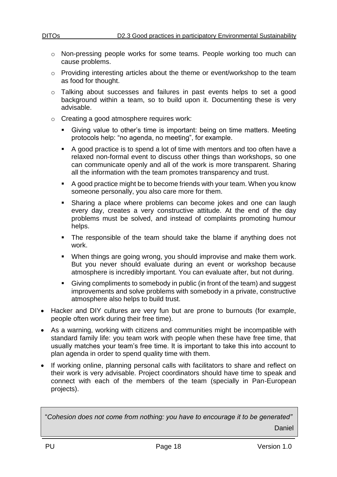- o Non-pressing people works for some teams. People working too much can cause problems.
- o Providing interesting articles about the theme or event/workshop to the team as food for thought.
- o Talking about successes and failures in past events helps to set a good background within a team, so to build upon it. Documenting these is very advisable.
- o Creating a good atmosphere requires work:
	- Giving value to other's time is important: being on time matters. Meeting protocols help: "no agenda, no meeting", for example.
	- A good practice is to spend a lot of time with mentors and too often have a relaxed non-formal event to discuss other things than workshops, so one can communicate openly and all of the work is more transparent. Sharing all the information with the team promotes transparency and trust.
	- A good practice might be to become friends with your team. When you know someone personally, you also care more for them.
	- **EXEDENT Sharing a place where problems can become jokes and one can laugh** every day, creates a very constructive attitude. At the end of the day problems must be solved, and instead of complaints promoting humour helps.
	- **•** The responsible of the team should take the blame if anything does not work.
	- When things are going wrong, you should improvise and make them work. But you never should evaluate during an event or workshop because atmosphere is incredibly important. You can evaluate after, but not during.
	- Giving compliments to somebody in public (in front of the team) and suggest improvements and solve problems with somebody in a private, constructive atmosphere also helps to build trust.
- Hacker and DIY cultures are very fun but are prone to burnouts (for example, people often work during their free time).
- As a warning, working with citizens and communities might be incompatible with standard family life: you team work with people when these have free time, that usually matches your team's free time. It is important to take this into account to plan agenda in order to spend quality time with them.
- If working online, planning personal calls with facilitators to share and reflect on their work is very advisable. Project coordinators should have time to speak and connect with each of the members of the team (specially in Pan-European projects).

"*Cohesion does not come from nothing: you have to encourage it to be generated"* Daniel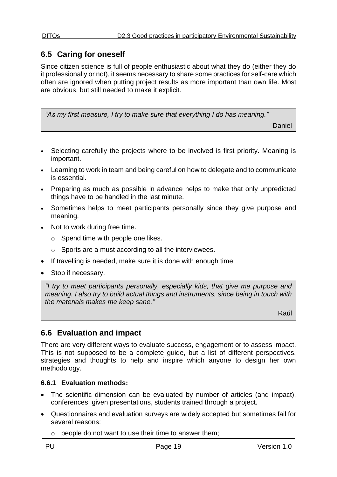# <span id="page-18-0"></span>**6.5 Caring for oneself**

Since citizen science is full of people enthusiastic about what they do (either they do it professionally or not), it seems necessary to share some practices for self-care which often are ignored when putting project results as more important than own life. Most are obvious, but still needed to make it explicit.

*"As my first measure, I try to make sure that everything I do has meaning."*

Daniel

- Selecting carefully the projects where to be involved is first priority. Meaning is important.
- Learning to work in team and being careful on how to delegate and to communicate is essential.
- Preparing as much as possible in advance helps to make that only unpredicted things have to be handled in the last minute.
- Sometimes helps to meet participants personally since they give purpose and meaning.
- Not to work during free time.
	- $\circ$  Spend time with people one likes.
	- o Sports are a must according to all the interviewees.
- If travelling is needed, make sure it is done with enough time.
- Stop if necessary.

*"I try to meet participants personally, especially kids, that give me purpose and meaning. I also try to build actual things and instruments, since being in touch with the materials makes me keep sane."*

Raúl

# <span id="page-18-1"></span>**6.6 Evaluation and impact**

There are very different ways to evaluate success, engagement or to assess impact. This is not supposed to be a complete guide, but a list of different perspectives, strategies and thoughts to help and inspire which anyone to design her own methodology.

### <span id="page-18-2"></span>**6.6.1 Evaluation methods:**

- The scientific dimension can be evaluated by number of articles (and impact), conferences, given presentations, students trained through a project.
- Questionnaires and evaluation surveys are widely accepted but sometimes fail for several reasons:
	- $\circ$  people do not want to use their time to answer them;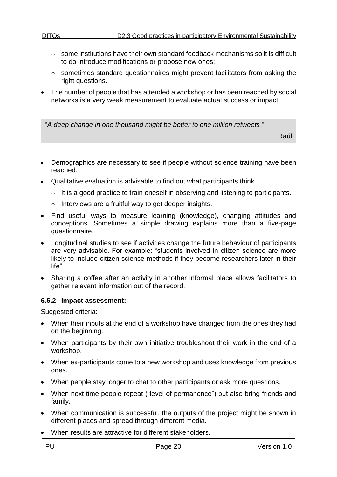- $\circ$  some institutions have their own standard feedback mechanisms so it is difficult to do introduce modifications or propose new ones;
- $\circ$  sometimes standard questionnaires might prevent facilitators from asking the right questions.
- The number of people that has attended a workshop or has been reached by social networks is a very weak measurement to evaluate actual success or impact.

"*A deep change in one thousand might be better to one million retweets*."

Raúl

- Demographics are necessary to see if people without science training have been reached.
- Qualitative evaluation is advisable to find out what participants think.
	- o It is a good practice to train oneself in observing and listening to participants.
	- o Interviews are a fruitful way to get deeper insights.
- Find useful ways to measure learning (knowledge), changing attitudes and conceptions. Sometimes a simple drawing explains more than a five-page questionnaire.
- Longitudinal studies to see if activities change the future behaviour of participants are very advisable. For example: "students involved in citizen science are more likely to include citizen science methods if they become researchers later in their life".
- Sharing a coffee after an activity in another informal place allows facilitators to gather relevant information out of the record.

#### <span id="page-19-0"></span>**6.6.2 Impact assessment:**

Suggested criteria:

- When their inputs at the end of a workshop have changed from the ones they had on the beginning.
- When participants by their own initiative troubleshoot their work in the end of a workshop.
- When ex-participants come to a new workshop and uses knowledge from previous ones.
- When people stay longer to chat to other participants or ask more questions.
- When next time people repeat ("level of permanence") but also bring friends and family.
- When communication is successful, the outputs of the project might be shown in different places and spread through different media.
- When results are attractive for different stakeholders.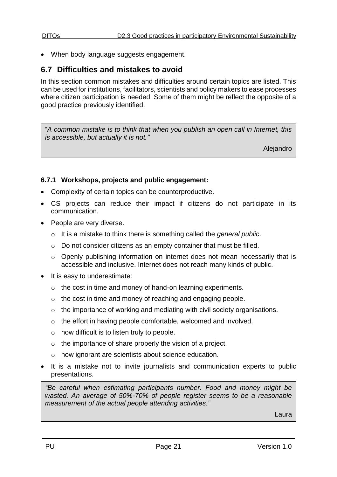• When body language suggests engagement.

# <span id="page-20-0"></span>**6.7 Difficulties and mistakes to avoid**

In this section common mistakes and difficulties around certain topics are listed. This can be used for institutions, facilitators, scientists and policy makers to ease processes where citizen participation is needed. Some of them might be reflect the opposite of a good practice previously identified.

"*A common mistake is to think that when you publish an open call in Internet, this is accessible, but actually it is not."*

Alejandro

#### <span id="page-20-1"></span>**6.7.1 Workshops, projects and public engagement:**

- Complexity of certain topics can be counterproductive.
- CS projects can reduce their impact if citizens do not participate in its communication.
- People are very diverse.
	- o It is a mistake to think there is something called the *general public*.
	- o Do not consider citizens as an empty container that must be filled.
	- o Openly publishing information on internet does not mean necessarily that is accessible and inclusive. Internet does not reach many kinds of public.
- It is easy to underestimate:
	- o the cost in time and money of hand-on learning experiments.
	- o the cost in time and money of reaching and engaging people.
	- $\circ$  the importance of working and mediating with civil society organisations.
	- o the effort in having people comfortable, welcomed and involved.
	- $\circ$  how difficult is to listen truly to people.
	- o the importance of share properly the vision of a project.
	- o how ignorant are scientists about science education.
- It is a mistake not to invite journalists and communication experts to public presentations.

*"Be careful when estimating participants number. Food and money might be wasted. An average of 50%-70% of people register seems to be a reasonable measurement of the actual people attending activities."*

Laura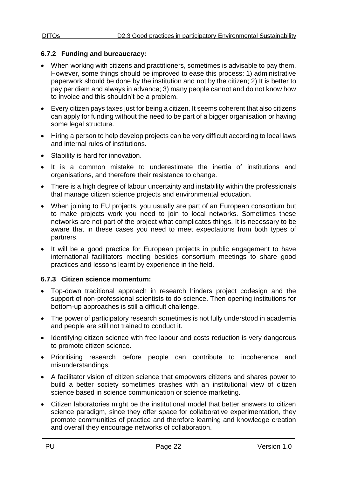#### <span id="page-21-0"></span>**6.7.2 Funding and bureaucracy:**

- When working with citizens and practitioners, sometimes is advisable to pay them. However, some things should be improved to ease this process: 1) administrative paperwork should be done by the institution and not by the citizen; 2) It is better to pay per diem and always in advance; 3) many people cannot and do not know how to invoice and this shouldn't be a problem.
- Every citizen pays taxes just for being a citizen. It seems coherent that also citizens can apply for funding without the need to be part of a bigger organisation or having some legal structure.
- Hiring a person to help develop projects can be very difficult according to local laws and internal rules of institutions.
- Stability is hard for innovation.
- It is a common mistake to underestimate the inertia of institutions and organisations, and therefore their resistance to change.
- There is a high degree of labour uncertainty and instability within the professionals that manage citizen science projects and environmental education.
- When joining to EU projects, you usually are part of an European consortium but to make projects work you need to join to local networks. Sometimes these networks are not part of the project what complicates things. It is necessary to be aware that in these cases you need to meet expectations from both types of partners.
- It will be a good practice for European projects in public engagement to have international facilitators meeting besides consortium meetings to share good practices and lessons learnt by experience in the field.

#### <span id="page-21-1"></span>**6.7.3 Citizen science momentum:**

- Top-down traditional approach in research hinders project codesign and the support of non-professional scientists to do science. Then opening institutions for bottom-up approaches is still a difficult challenge.
- The power of participatory research sometimes is not fully understood in academia and people are still not trained to conduct it.
- Identifying citizen science with free labour and costs reduction is very dangerous to promote citizen science.
- Prioritising research before people can contribute to incoherence and misunderstandings.
- A facilitator vision of citizen science that empowers citizens and shares power to build a better society sometimes crashes with an institutional view of citizen science based in science communication or science marketing.
- Citizen laboratories might be the institutional model that better answers to citizen science paradigm, since they offer space for collaborative experimentation, they promote communities of practice and therefore learning and knowledge creation and overall they encourage networks of collaboration.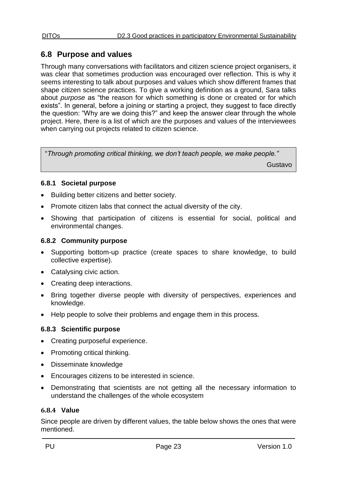# <span id="page-22-0"></span>**6.8 Purpose and values**

Through many conversations with facilitators and citizen science project organisers, it was clear that sometimes production was encouraged over reflection. This is why it seems interesting to talk about purposes and values which show different frames that shape citizen science practices. To give a working definition as a ground, Sara talks about *purpose* as "the reason for which something is done or created or for which exists". In general, before a joining or starting a project, they suggest to face directly the question: "Why are we doing this?" and keep the answer clear through the whole project. Here, there is a list of which are the purposes and values of the interviewees when carrying out projects related to citizen science.

"*Through promoting critical thinking, we don't teach people, we make people."*

Gustavo

### <span id="page-22-1"></span>**6.8.1 Societal purpose**

- Building better citizens and better society.
- Promote citizen labs that connect the actual diversity of the city.
- Showing that participation of citizens is essential for social, political and environmental changes.

### <span id="page-22-2"></span>**6.8.2 Community purpose**

- Supporting bottom-up practice (create spaces to share knowledge, to build collective expertise).
- Catalysing civic action.
- Creating deep interactions.
- Bring together diverse people with diversity of perspectives, experiences and knowledge.
- Help people to solve their problems and engage them in this process.

### <span id="page-22-3"></span>**6.8.3 Scientific purpose**

- Creating purposeful experience.
- Promoting critical thinking.
- Disseminate knowledge
- Encourages citizens to be interested in science.
- Demonstrating that scientists are not getting all the necessary information to understand the challenges of the whole ecosystem

#### <span id="page-22-4"></span>**6.8.4 Value**

Since people are driven by different values, the table below shows the ones that were mentioned.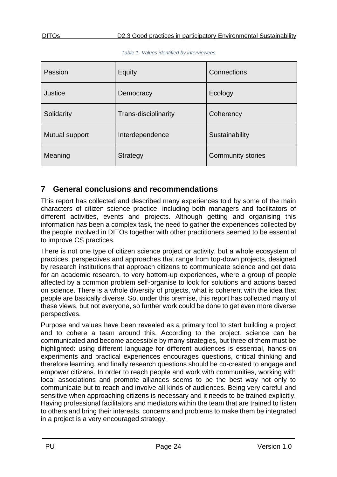<span id="page-23-1"></span>

| Passion        | Equity               | Connections              |  |
|----------------|----------------------|--------------------------|--|
| <b>Justice</b> | Democracy            | Ecology                  |  |
| Solidarity     | Trans-disciplinarity | Coherency                |  |
| Mutual support | Interdependence      | Sustainability           |  |
| Meaning        | Strategy             | <b>Community stories</b> |  |

|  |  |  |  | Table 1- Values identified by interviewees |
|--|--|--|--|--------------------------------------------|
|--|--|--|--|--------------------------------------------|

# <span id="page-23-0"></span>**7 General conclusions and recommendations**

This report has collected and described many experiences told by some of the main characters of citizen science practice, including both managers and facilitators of different activities, events and projects. Although getting and organising this information has been a complex task, the need to gather the experiences collected by the people involved in DITOs together with other practitioners seemed to be essential to improve CS practices.

There is not one type of citizen science project or activity, but a whole ecosystem of practices, perspectives and approaches that range from top-down projects, designed by research institutions that approach citizens to communicate science and get data for an academic research, to very bottom-up experiences, where a group of people affected by a common problem self-organise to look for solutions and actions based on science. There is a whole diversity of projects, what is coherent with the idea that people are basically diverse. So, under this premise, this report has collected many of these views, but not everyone, so further work could be done to get even more diverse perspectives.

Purpose and values have been revealed as a primary tool to start building a project and to cohere a team around this. According to the project, science can be communicated and become accessible by many strategies, but three of them must be highlighted: using different language for different audiences is essential, hands-on experiments and practical experiences encourages questions, critical thinking and therefore learning, and finally research questions should be co-created to engage and empower citizens. In order to reach people and work with communities, working with local associations and promote alliances seems to be the best way not only to communicate but to reach and involve all kinds of audiences. Being very careful and sensitive when approaching citizens is necessary and it needs to be trained explicitly. Having professional facilitators and mediators within the team that are trained to listen to others and bring their interests, concerns and problems to make them be integrated in a project is a very encouraged strategy.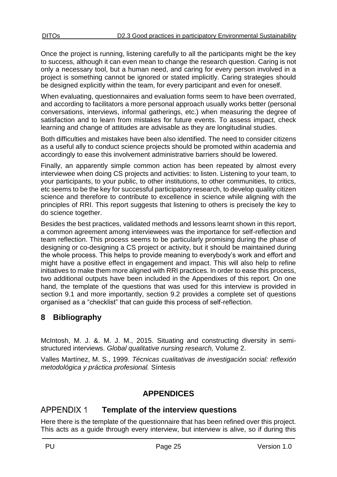Once the project is running, listening carefully to all the participants might be the key to success, although it can even mean to change the research question. Caring is not only a necessary tool, but a human need, and caring for every person involved in a project is something cannot be ignored or stated implicitly. Caring strategies should be designed explicitly within the team, for every participant and even for oneself.

When evaluating, questionnaires and evaluation forms seem to have been overrated, and according to facilitators a more personal approach usually works better (personal conversations, interviews, informal gatherings, etc.) when measuring the degree of satisfaction and to learn from mistakes for future events. To assess impact, check learning and change of attitudes are advisable as they are longitudinal studies.

Both difficulties and mistakes have been also identified. The need to consider citizens as a useful ally to conduct science projects should be promoted within academia and accordingly to ease this involvement administrative barriers should be lowered.

Finally, an apparently simple common action has been repeated by almost every interviewee when doing CS projects and activities: to listen. Listening to your team, to your participants, to your public, to other institutions, to other communities, to critics, etc seems to be the key for successful participatory research, to develop quality citizen science and therefore to contribute to excellence in science while aligning with the principles of RRI. This report suggests that listening to others is precisely the key to do science together.

Besides the best practices, validated methods and lessons learnt shown in this report, a common agreement among interviewees was the importance for self-reflection and team reflection. This process seems to be particularly promising during the phase of designing or co-designing a CS project or activity, but it should be maintained during the whole process. This helps to provide meaning to everybody's work and effort and might have a positive effect in engagement and impact. This will also help to refine initiatives to make them more aligned with RRI practices. In order to ease this process, two additional outputs have been included in the Appendixes of this report. On one hand, the template of the questions that was used for this interview is provided in section 9.1 and more importantly, section 9.2 provides a complete set of questions organised as a "checklist" that can guide this process of self-reflection.

# <span id="page-24-0"></span>**8 Bibliography**

McIntosh, M. J. &. M. J. M., 2015. Situating and constructing diversity in semistructured interviews. *Global qualitative nursing research,* Volume 2.

Valles Martínez, M. S., 1999. *Técnicas cualitativas de investigación social: reflexión metodológica y práctica profesional.* Síntesis

# **APPENDICES**

#### <span id="page-24-2"></span><span id="page-24-1"></span>**APPENDIX 1 Template of the interview questions**

Here there is the template of the questionnaire that has been refined over this project. This acts as a guide through every interview, but interview is alive, so if during this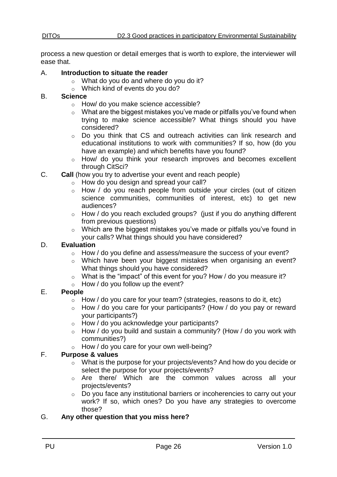process a new question or detail emerges that is worth to explore, the interviewer will ease that.

#### A. **Introduction to situate the reader**

- o What do you do and where do you do it?
- o Which kind of events do you do?

#### B. **Science**

- o How/ do you make science accessible?
- o What are the biggest mistakes you've made or pitfalls you've found when trying to make science accessible? What things should you have considered?
- o Do you think that CS and outreach activities can link research and educational institutions to work with communities? If so, how (do you have an example) and which benefits have you found?
- o How/ do you think your research improves and becomes excellent through CitSci?
- C. **Call** (how you try to advertise your event and reach people)
	- o How do you design and spread your call?
	- o How / do you reach people from outside your circles (out of citizen science communities, communities of interest, etc) to get new audiences?
	- o How / do you reach excluded groups? (just if you do anything different from previous questions)
	- o Which are the biggest mistakes you've made or pitfalls you've found in your calls? What things should you have considered?

### D. **Evaluation**

- o How / do you define and assess/measure the success of your event?
- o Which have been your biggest mistakes when organising an event? What things should you have considered?
- $\circ$  What is the "impact" of this event for you? How / do you measure it?
- $\circ$  How / do you follow up the event?

### E. **People**

- $\circ$  How / do you care for your team? (strategies, reasons to do it, etc)
- o How / do you care for your participants? (How / do you pay or reward your participants?)
- o How / do you acknowledge your participants?
- $\circ$  How / do you build and sustain a community? (How / do you work with communities?)
- o How / do you care for your own well-being?

### F. **Purpose & values**

- o What is the purpose for your projects/events? And how do you decide or select the purpose for your projects/events?
- o Are there/ Which are the common values across all your projects/events?
- o Do you face any institutional barriers or incoherencies to carry out your work? If so, which ones? Do you have any strategies to overcome those?

### G. **Any other question that you miss here?**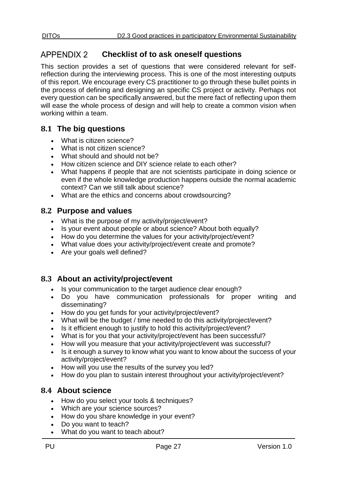#### <span id="page-26-0"></span>**APPENDIX 2 Checklist of to ask oneself questions**

This section provides a set of questions that were considered relevant for selfreflection during the interviewing process. This is one of the most interesting outputs of this report. We encourage every CS practitioner to go through these bullet points in the process of defining and designing an specific CS project or activity. Perhaps not every question can be specifically answered, but the mere fact of reflecting upon them will ease the whole process of design and will help to create a common vision when working within a team.

# <span id="page-26-1"></span>**8.1 The big questions**

- What is citizen science?
- What is not citizen science?
- What should and should not be?
- How citizen science and DIY science relate to each other?
- What happens if people that are not scientists participate in doing science or even if the whole knowledge production happens outside the normal academic context? Can we still talk about science?
- What are the ethics and concerns about crowdsourcing?

# <span id="page-26-2"></span>**8.2 Purpose and values**

- What is the purpose of my activity/project/event?
- Is your event about people or about science? About both equally?
- How do you determine the values for your activity/project/event?
- What value does your activity/project/event create and promote?
- Are your goals well defined?

# <span id="page-26-3"></span>**8.3 About an activity/project/event**

- Is your communication to the target audience clear enough?
- Do you have communication professionals for proper writing and disseminating?
- How do you get funds for your activity/project/event?
- What will be the budget / time needed to do this activity/project/event?
- Is it efficient enough to justify to hold this activity/project/event?
- What is for you that your activity/project/event has been successful?
- How will you measure that your activity/project/event was successful?
- Is it enough a survey to know what you want to know about the success of your activity/project/event?
- How will you use the results of the survey you led?
- How do you plan to sustain interest throughout your activity/project/event?

# <span id="page-26-4"></span>**8.4 About science**

- How do you select your tools & techniques?
- Which are your science sources?
- How do you share knowledge in your event?
- Do you want to teach?
- What do you want to teach about?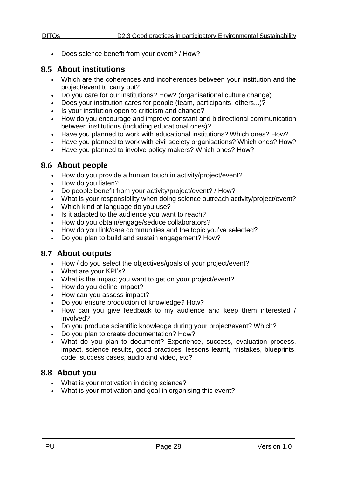- - Does science benefit from your event? / How?

# <span id="page-27-0"></span>**8.5 About institutions**

- Which are the coherences and incoherences between your institution and the project/event to carry out?
- Do you care for our institutions? How? (organisational culture change)
- Does your institution cares for people (team, participants, others...)?
- Is your institution open to criticism and change?
- How do you encourage and improve constant and bidirectional communication between institutions (including educational ones)?
- Have you planned to work with educational institutions? Which ones? How?
- Have you planned to work with civil society organisations? Which ones? How?
- Have you planned to involve policy makers? Which ones? How?

# <span id="page-27-1"></span>**8.6 About people**

- How do you provide a human touch in activity/project/event?
- How do you listen?
- Do people benefit from your activity/project/event? / How?
- What is your responsibility when doing science outreach activity/project/event?
- Which kind of language do you use?
- Is it adapted to the audience you want to reach?
- How do you obtain/engage/seduce collaborators?
- How do you link/care communities and the topic you've selected?
- Do you plan to build and sustain engagement? How?

# <span id="page-27-2"></span>**8.7 About outputs**

- How / do you select the objectives/goals of your project/event?
- What are your KPI's?
- What is the impact you want to get on your project/event?
- How do you define impact?
- How can you assess impact?
- Do you ensure production of knowledge? How?
- How can you give feedback to my audience and keep them interested / involved?
- Do you produce scientific knowledge during your project/event? Which?
- Do you plan to create documentation? How?
- What do you plan to document? Experience, success, evaluation process, impact, science results, good practices, lessons learnt, mistakes, blueprints, code, success cases, audio and video, etc?

# <span id="page-27-3"></span>**8.8 About you**

- What is your motivation in doing science?
- What is your motivation and goal in organising this event?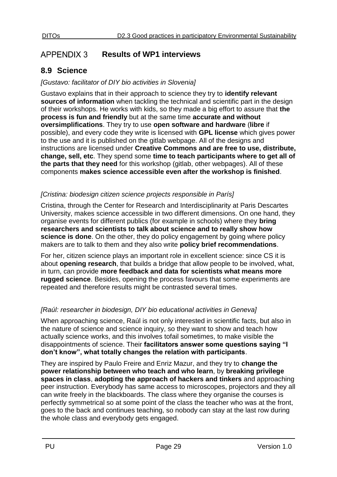#### <span id="page-28-0"></span>**APPENDIX 3 Results of WP1 interviews**

# <span id="page-28-1"></span>**8.9 Science**

### *[Gustavo: facilitator of DIY bio activities in Slovenia]*

Gustavo explains that in their approach to science they try to **identify relevant sources of information** when tackling the technical and scientific part in the design of their workshops. He works with kids, so they made a big effort to assure that **the process is fun and friendly** but at the same time **accurate and without oversimplifications**. They try to use **open software and hardware** (**libre** if possible), and every code they write is licensed with **GPL license** which gives power to the use and it is published on the gitlab webpage. All of the designs and instructions are licensed under **Creative Commons and are free to use, distribute, change, sell, etc**. They spend some **time to teach participants where to get all of the parts that they need** for this workshop (gitlab, other webpages). All of these components **makes science accessible even after the workshop is finished**.

### *[Cristina: biodesign citizen science projects responsible in París]*

Cristina, through the Center for Research and Interdisciplinarity at Paris Descartes University, makes science accessible in two different dimensions. On one hand, they organise events for different publics (for example in schools) where they **bring researchers and scientists to talk about science and to really show how science is done**. On the other, they do policy engagement by going where policy makers are to talk to them and they also write **policy brief recommendations**.

For her, citizen science plays an important role in excellent science: since CS it is about **opening research**, that builds a bridge that allow people to be involved, what, in turn, can provide **more feedback and data for scientists what means more rugged science**. Besides, opening the process favours that some experiments are repeated and therefore results might be contrasted several times.

# *[Raúl: researcher in biodesign, DIY bio educational activities in Geneva]*

When approaching science, Raúl is not only interested in scientific facts, but also in the nature of science and science inquiry, so they want to show and teach how actually science works, and this involves tofail sometimes, to make visible the disappointments of science. Their **facilitators answer some questions saying "I don't know", what totally changes the relation with participants**.

They are inspired by Paulo Freire and Enriz Mazur, and they try to **change the power relationship between who teach and who learn**, by **breaking privilege spaces in class**, **adopting the approach of hackers and tinkers** and approaching peer instruction. Everybody has same access to microscopes, projectors and they all can write freely in the blackboards. The class where they organise the courses is perfectly symmetrical so at some point of the class the teacher who was at the front, goes to the back and continues teaching, so nobody can stay at the last row during the whole class and everybody gets engaged.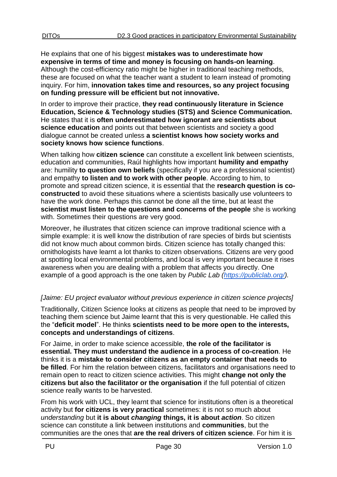He explains that one of his biggest **mistakes was to underestimate how expensive in terms of time and money is focusing on hands-on learning**. Although the cost-efficiency ratio might be higher in traditional teaching methods, these are focused on what the teacher want a student to learn instead of promoting inquiry. For him, **innovation takes time and resources, so any project focusing on funding pressure will be efficient but not innovative.** 

In order to improve their practice, **they read continuously literature in Science Education, Science & Technology studies (STS) and Science Communication.**  He states that it is **often underestimated how ignorant are scientists about science education** and points out that between scientists and society a good dialogue cannot be created unless **a scientist knows how society works and society knows how science functions**.

When talking how **citizen science** can constitute a excellent link between scientists, education and communities, Raúl highlights how important **humility and empathy** are: humility **to question own beliefs** (specifically if you are a professional scientist) and empathy **to listen and to work with other people**. According to him, to promote and spread citizen science, it is essential that the **research question is coconstructed** to avoid these situations where a scientists basically use volunteers to have the work done. Perhaps this cannot be done all the time, but at least the **scientist must listen to the questions and concerns of the people** she is working with. Sometimes their questions are very good.

Moreover, he illustrates that citizen science can improve traditional science with a simple example: it is well know the distribution of rare species of birds but scientists did not know much about common birds. Citizen science has totally changed this: ornithologists have learnt a lot thanks to citizen observations. Citizens are very good at spotting local environmental problems, and local is very important because it rises awareness when you are dealing with a problem that affects you directly. One example of a good approach is the one taken by *Public Lab [\(https://publiclab.org/\)](https://publiclab.org/).*

# *[Jaime: EU project evaluator without previous experience in citizen science projects]*

Traditionally, Citizen Science looks at citizens as people that need to be improved by teaching them science but Jaime learnt that this is very questionable. He called this the "**deficit model**". He thinks **scientists need to be more open to the interests, concepts and understandings of citizens**.

For Jaime, in order to make science accessible, **the role of the facilitator** i**s essential. They must understand the audience in a process of co-creation**. He thinks it is a **mistake to consider citizens as an empty container that needs to be filled**. For him the relation between citizens, facilitators and organisations need to remain open to react to citizen science activities. This might **change not only the citizens but also the facilitator or the organisation** if the full potential of citizen science really wants to be harvested.

From his work with UCL, they learnt that science for institutions often is a theoretical activity but **for citizens is very practical** sometimes: it is not so much about *understanding* but **it is about** *changing* **things, it is about** *action*. So citizen science can constitute a link between institutions and **communities**, but the communities are the ones that **are the real drivers of citizen science**. For him it is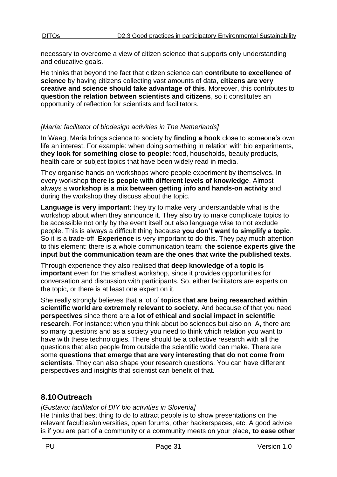necessary to overcome a view of citizen science that supports only understanding and educative goals.

He thinks that beyond the fact that citizen science can **contribute to excellence of science** by having citizens collecting vast amounts of data, **citizens are very creative and science should take advantage of this**. Moreover, this contributes to **question the relation between scientists and citizens**, so it constitutes an opportunity of reflection for scientists and facilitators.

#### *[María: facilitator of biodesign activities in The Netherlands]*

In Waag, Maria brings science to society by **finding a hook** close to someone's own life an interest. For example: when doing something in relation with bio experiments, **they look for something close to people**: food, households, beauty products, health care or subject topics that have been widely read in media.

They organise hands-on workshops where people experiment by themselves. In every workshop **there is people with different levels of knowledge**. Almost always a **workshop is a mix between getting info and hands-on activity** and during the workshop they discuss about the topic.

**Language is very important**: they try to make very understandable what is the workshop about when they announce it. They also try to make complicate topics to be accessible not only by the event itself but also language wise to not exclude people. This is always a difficult thing because **you don't want to simplify a topic**. So it is a trade-off. **Experience** is very important to do this. They pay much attention to this element: there is a whole communication team: **the science experts give the input but the communication team are the ones that write the published texts**.

Through experience they also realised that **deep knowledge of a topic is important** even for the smallest workshop, since it provides opportunities for conversation and discussion with participants. So, either facilitators are experts on the topic, or there is at least one expert on it.

She really strongly believes that a lot of **topics that are being researched within scientific world are extremely relevant to society**. And because of that you need **perspectives** since there are **a lot of ethical and social impact in scientific research**. For instance: when you think about bo sciences but also on IA, there are so many questions and as a society you need to think which relation you want to have with these technologies. There should be a collective research with all the questions that also people from outside the scientific world can make. There are some **questions that emerge that are very interesting that do not come from scientists**. They can also shape your research questions. You can have different perspectives and insights that scientist can benefit of that.

# <span id="page-30-0"></span>**8.10Outreach**

*[Gustavo: facilitator of DIY bio activities in Slovenia]* 

He thinks that best thing to do to attract people is to show presentations on the relevant faculties/universities, open forums, other hackerspaces, etc. A good advice is if you are part of a community or a community meets on your place, **to ease other**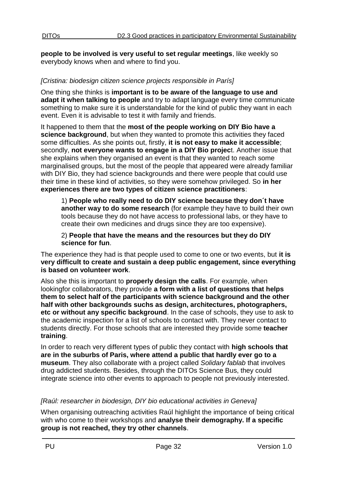**people to be involved is very useful to set regular meetings**, like weekly so everybody knows when and where to find you.

#### *[Cristina: biodesign citizen science projects responsible in París]*

One thing she thinks is **important is to be aware of the language to use and adapt it when talking to people** and try to adapt language every time communicate something to make sure it is understandable for the kind of public they want in each event. Even it is advisable to test it with family and friends.

It happened to them that the **most of the people working on DIY Bio have a science background**, but when they wanted to promote this activities they faced some difficulties. As she points out, firstly, **it is not easy to make it accessible**; secondly, **not everyone wants to engage in a DIY Bio projec**t. Another issue that she explains when they organised an event is that they wanted to reach some marginalised groups, but the most of the people that appeared were already familiar with DIY Bio, they had science backgrounds and there were people that could use their time in these kind of activities, so they were somehow privileged. So **in her experiences there are two types of citizen science practitioners**:

1) **People who really need to do DIY science because they don´t have another way to do some research** (for example they have to build their own tools because they do not have access to professional labs, or they have to create their own medicines and drugs since they are too expensive).

2) **People that have the means and the resources but they do DIY science for fun**.

The experience they had is that people used to come to one or two events, but **it is very difficult to create and sustain a deep public engagement, since everything is based on volunteer work**.

Also she this is important to **properly design the calls**. For example, when lookingfor collaborators, they provide **a form with a list of questions that helps them to select half of the participants with science background and the other half with other backgrounds suchs as design, architectures, photographers, etc or without any specific background**. In the case of schools, they use to ask to the academic inspection for a list of schools to contact with. They never contact to students directly. For those schools that are interested they provide some **teacher training**.

In order to reach very different types of public they contact with **high schools that are in the suburbs of Paris, where attend a public that hardly ever go to a museum**. They also collaborate with a project called *Solidary fablab* that involves drug addicted students. Besides, through the DITOs Science Bus, they could integrate science into other events to approach to people not previously interested.

#### *[Raúl: researcher in biodesign, DIY bio educational activities in Geneva]*

When organising outreaching activities Raúl highlight the importance of being critical with who come to their workshops and **analyse their demography. If a specific group is not reached, they try other channels**.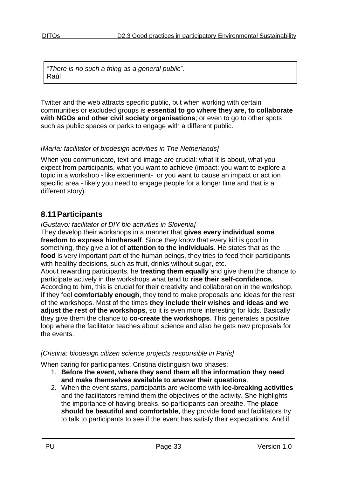"*There is no such a thing as a general public*". Raúl

Twitter and the web attracts specific public, but when working with certain communities or excluded groups is **essential to go where they are, to collaborate with NGOs and other civil society organisations**; or even to go to other spots such as public spaces or parks to engage with a different public.

#### *[María: facilitator of biodesign activities in The Netherlands]*

When you communicate, text and image are crucial: what it is about, what you expect from participants, what you want to achieve (impact: you want to explore a topic in a workshop - like experiment- or you want to cause an impact or act ion specific area - likely you need to engage people for a longer time and that is a different story).

# <span id="page-32-0"></span>**8.11Participants**

#### *[Gustavo: facilitator of DIY bio activities in Slovenia]*

They develop their workshops in a manner that **gives every individual some freedom to express him/herself**. Since they know that every kid is good in something, they give a lot of **attention to the individuals**. He states that as the **food** is very important part of the human beings, they tries to feed their participants with healthy decisions, such as fruit, drinks without sugar, etc.

About rewarding participants, he **treating them equally** and give them the chance to participate actively in the workshops what tend to **rise their self-confidence.** According to him, this is crucial for their creativity and collaboration in the workshop. If they feel **comfortably enough**, they tend to make proposals and ideas for the rest of the workshops. Most of the times **they include their wishes and ideas and we adjust the rest of the workshops**, so it is even more interesting for kids. Basically they give them the chance to **co-create the workshops**. This generates a positive loop where the facilitator teaches about science and also he gets new proposals for the events.

#### *[Cristina: biodesign citizen science projects responsible in París]*

When caring for participantes, Cristina distinguish two phases:

- 1. **Before the event, where they send them all the information they need and make themselves available to answer their questions**.
- 2. When the event starts, participants are welcome with **ice-breaking activities**  and the facilitators remind them the objectives of the activity. She highlights the importance of having breaks, so participants can breathe. The **place should be beautiful and comfortable**, they provide **food** and facilitators try to talk to participants to see if the event has satisfy their expectations. And if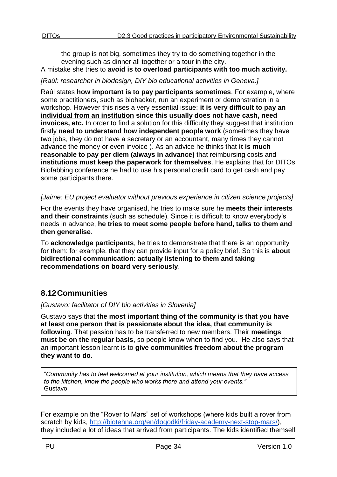the group is not big, sometimes they try to do something together in the evening such as dinner all together or a tour in the city. A mistake she tries to **avoid is to overload participants with too much activity.** 

#### *[Raúl: researcher in biodesign, DIY bio educational activities in Geneva.]*

Raúl states **how important is to pay participants sometimes**. For example, where some practitioners, such as biohacker, run an experiment or demonstration in a workshop. However this rises a very essential issue: **it is very difficult to pay an individual from an institution since this usually does not have cash, need invoices, etc.** In order to find a solution for this difficulty they suggest that institution firstly **need to understand how independent people work** (sometimes they have two jobs, they do not have a secretary or an accountant, many times they cannot advance the money or even invoice ). As an advice he thinks that **it is much reasonable to pay per diem (always in advance)** that reimbursing costs and **institutions must keep the paperwork for themselves**. He explains that for DITOs Biofabbing conference he had to use his personal credit card to get cash and pay some participants there.

#### *[Jaime: EU project evaluator without previous experience in citizen science projects]*

For the events they have organised, he tries to make sure he **meets their interests and their constraints** (such as schedule). Since it is difficult to know everybody's needs in advance, **he tries to meet some people before hand, talks to them and then generalise**.

To **acknowledge participants**, he tries to demonstrate that there is an opportunity for them: for example, that they can provide input for a policy brief. So this is **about bidirectional communication: actually listening to them and taking recommendations on board very seriously**.

# <span id="page-33-0"></span>**8.12Communities**

#### *[Gustavo: facilitator of DIY bio activities in Slovenia]*

Gustavo says that **the most important thing of the community is that you have at least one person that is passionate about the idea, that community is following**. That passion has to be transferred to new members. Their **meetings must be on the regular basis**, so people know when to find you. He also says that an important lesson learnt is to **give communities freedom about the program they want to do**.

"*Community has to feel welcomed at your institution, which means that they have access to the kitchen, know the people who works there and attend your events."* Gustavo

For example on the "Rover to Mars" set of workshops (where kids built a rover from scratch by kids, [http://biotehna.org/en/dogodki/friday-academy-next-stop-mars/\)](http://biotehna.org/en/dogodki/friday-academy-next-stop-mars/), they included a lot of ideas that arrived from participants. The kids identified themself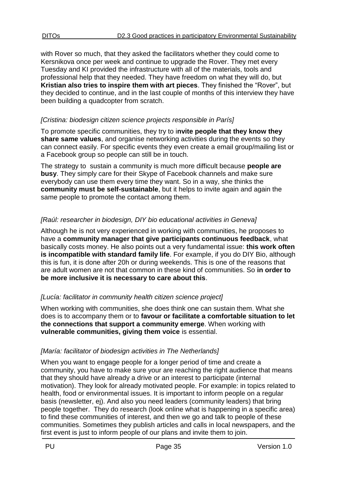with Rover so much, that they asked the facilitators whether they could come to Kersnikova once per week and continue to upgrade the Rover. They met every Tuesday and KI provided the infrastructure with all of the materials, tools and professional help that they needed. They have freedom on what they will do, but **Kristian also tries to inspire them with art pieces**. They finished the "Rover", but they decided to continue, and in the last couple of months of this interview they have been building a quadcopter from scratch.

#### *[Cristina: biodesign citizen science projects responsible in París]*

To promote specific communities, they try to i**nvite people that they know they share same values**, and organise networking activities during the events so they can connect easily. For specific events they even create a email group/mailing list or a Facebook group so people can still be in touch.

The strategy to sustain a community is much more difficult because **people are busy**. They simply care for their Skype of Facebook channels and make sure everybody can use them every time they want. So in a way, she thinks the **community must be self-sustainable**, but it helps to invite again and again the same people to promote the contact among them.

### *[Raúl: researcher in biodesign, DIY bio educational activities in Geneva]*

Although he is not very experienced in working with communities, he proposes to have a **community manager that give participants continuous feedback**, what basically costs money. He also points out a very fundamental issue: **this work often is incompatible with standard family life**. For example, if you do DIY Bio, although this is fun, it is done after 20h or during weekends. This is one of the reasons that are adult women are not that common in these kind of communities. So **in order to be more inclusive it is necessary to care about this**.

### *[Lucía: facilitator in community health citizen science project]*

When working with communities, she does think one can sustain them. What she does is to accompany them or to **favour or facilitate a comfortable situation to let the connections that support a community emerge**. When working with **vulnerable communities, giving them voice** is essential.

### *[María: facilitator of biodesign activities in The Netherlands]*

When you want to engage people for a longer period of time and create a community, you have to make sure your are reaching the right audience that means that they should have already a drive or an interest to participate (internal motivation). They look for already motivated people. For example: in topics related to health, food or environmental issues. It is important to inform people on a regular basis (newsletter, ej). And also you need leaders (community leaders) that bring people together. They do research (look online what is happening in a specific area) to find these communities of interest, and then we go and talk to people of these communities. Sometimes they publish articles and calls in local newspapers, and the first event is just to inform people of our plans and invite them to join.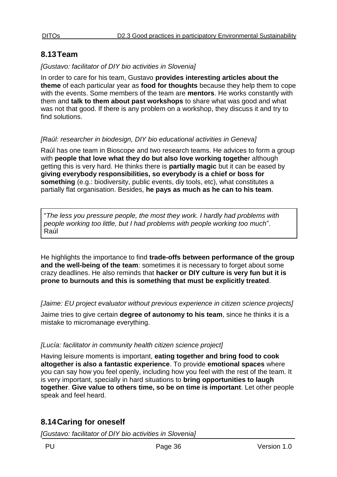# <span id="page-35-0"></span>**8.13Team**

#### *[Gustavo: facilitator of DIY bio activities in Slovenia]*

In order to care for his team, Gustavo **provides interesting articles about the theme** of each particular year as **food for thoughts** because they help them to cope with the events. Some members of the team are **mentors**. He works constantly with them and **talk to them about past workshops** to share what was good and what was not that good. If there is any problem on a workshop, they discuss it and try to find solutions.

#### *[Raúl: researcher in biodesign, DIY bio educational activities in Geneva]*

Raúl has one team in Bioscope and two research teams. He advices to form a group with **people that love what they do but also love working togethe**r although getting this is very hard. He thinks there is **partially magic** but it can be eased by **giving everybody responsibilities, so everybody is a chief or boss for something** (e.g.: biodiversity, public events, diy tools, etc), what constitutes a partially flat organisation. Besides, **he pays as much as he can to his team**.

"*The less you pressure people, the most they work. I hardly had problems with people working too little, but I had problems with people working too much*". Raúl

He highlights the importance to find **trade-offs between performance of the group and the well-being of the team**: sometimes it is necessary to forget about some crazy deadlines. He also reminds that **hacker or DIY culture is very fun but it is prone to burnouts and this is something that must be explicitly treated**.

*[Jaime: EU project evaluator without previous experience in citizen science projects]*

Jaime tries to give certain **degree of autonomy to his team**, since he thinks it is a mistake to micromanage everything.

### *[Lucía: facilitator in community health citizen science project]*

Having leisure moments is important, **eating together and bring food to cook altogether is also a fantastic experience**. To provide **emotional spaces** where you can say how you feel openly, including how you feel with the rest of the team. It is very important, specially in hard situations to **bring opportunities to laugh together**. **Give value to others time, so be on time is important**. Let other people speak and feel heard.

# <span id="page-35-1"></span>**8.14Caring for oneself**

*[Gustavo: facilitator of DIY bio activities in Slovenia]*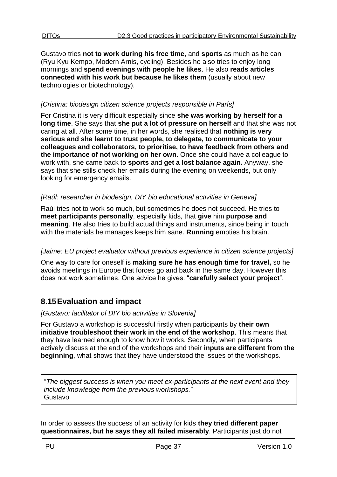Gustavo tries **not to work during his free time**, and **sports** as much as he can (Ryu Kyu Kempo, Modern Arnis, cycling). Besides he also tries to enjoy long mornings and **spend evenings with people he likes**. He also **reads articles connected with his work but because he likes them** (usually about new technologies or biotechnology).

#### *[Cristina: biodesign citizen science projects responsible in París]*

For Cristina it is very difficult especially since **she was working by herself for a long time**. She says that **she put a lot of pressure on herself** and that she was not caring at all. After some time, in her words, she realised that **nothing is very serious and she learnt to trust people, to delegate, to communicate to your colleagues and collaborators, to prioritise, to have feedback from others and the importance of not working on her own**. Once she could have a colleague to work with, she came back to **sports** and **get a lost balance again.** Anyway, she says that she stills check her emails during the evening on weekends, but only looking for emergency emails.

#### *[Raúl: researcher in biodesign, DIY bio educational activities in Geneva]*

Raúl tries not to work so much, but sometimes he does not succeed. He tries to **meet participants personally**, especially kids, that **give** him **purpose and meaning**. He also tries to build actual things and instruments, since being in touch with the materials he manages keeps him sane. **Running** empties his brain.

#### *[Jaime: EU project evaluator without previous experience in citizen science projects]*

One way to care for oneself is **making sure he has enough time for travel,** so he avoids meetings in Europe that forces go and back in the same day. However this does not work sometimes. One advice he gives: "**carefully select your project**".

# <span id="page-36-0"></span>**8.15Evaluation and impact**

#### *[Gustavo: facilitator of DIY bio activities in Slovenia]*

For Gustavo a workshop is successful firstly when participants by **their own initiative troubleshoot their work in the end of the workshop**. This means that they have learned enough to know how it works. Secondly, when participants actively discuss at the end of the workshops and their **inputs are different from the beginning**, what shows that they have understood the issues of the workshops.

"*The biggest success is when you meet ex-participants at the next event and they include knowledge from the previous workshops.*" Gustavo

In order to assess the success of an activity for kids **they tried different paper questionnaires, but he says they all failed miserably**. Participants just do not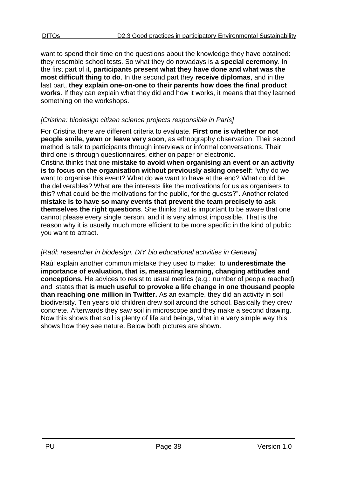want to spend their time on the questions about the knowledge they have obtained: they resemble school tests. So what they do nowadays is **a special ceremony**. In the first part of it, **participants present what they have done and what was the most difficult thing to do**. In the second part they **receive diplomas**, and in the last part, **they explain one-on-one to their parents how does the final product works**. If they can explain what they did and how it works, it means that they learned something on the workshops.

### *[Cristina: biodesign citizen science projects responsible in París]*

For Cristina there are different criteria to evaluate. **First one is whether or not people smile, yawn or leave very soon**, as ethnography observation. Their second method is talk to participants through interviews or informal conversations. Their third one is through questionnaires, either on paper or electronic.

Cristina thinks that one **mistake to avoid when organising an event or an activity is to focus on the organisation without previously asking oneself**: "why do we want to organise this event? What do we want to have at the end? What could be the deliverables? What are the interests like the motivations for us as organisers to this? what could be the motivations for the public, for the guests?". Another related **mistake is to have so many events that prevent the team precisely to ask themselves the right questions**. She thinks that is important to be aware that one cannot please every single person, and it is very almost impossible. That is the reason why it is usually much more efficient to be more specific in the kind of public you want to attract.

### *[Raúl: researcher in biodesign, DIY bio educational activities in Geneva]*

Raúl explain another common mistake they used to make: to **underestimate the importance of evaluation, that is, measuring learning, changing attitudes and conceptions.** He advices to resist to usual metrics (e.g.: number of people reached) and states that **is much useful to provoke a life change in one thousand people than reaching one million in Twitter.** As an example, they did an activity in soil biodiversity. Ten years old children drew soil around the school. Basically they drew concrete. Afterwards they saw soil in microscope and they make a second drawing. Now this shows that soil is plenty of life and beings, what in a very simple way this shows how they see nature. Below both pictures are shown.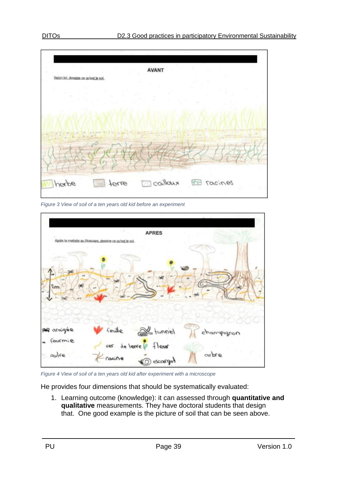

<span id="page-38-0"></span>*Figure 3 View of soil of a ten years old kid before an experiment*



<span id="page-38-1"></span>*Figure 4 View of soil of a ten years old kid after experiment with a microscope*

He provides four dimensions that should be systematically evaluated:

1. Learning outcome (knowledge): it can assessed through **quantitative and qualitative** measurements. They have doctoral students that design that. One good example is the picture of soil that can be seen above.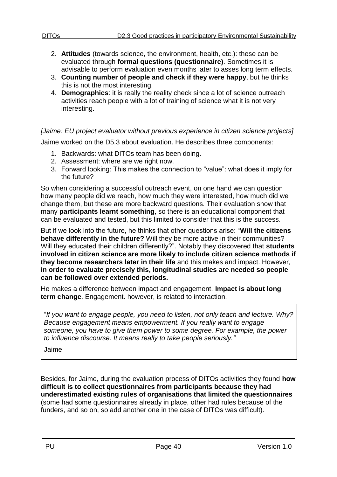- 2. **Attitudes** (towards science, the environment, health, etc.): these can be evaluated through **formal questions (questionnaire)**. Sometimes it is advisable to perform evaluation even months later to asses long term effects.
- 3. **Counting number of people and check if they were happy**, but he thinks this is not the most interesting.
- 4. **Demographics**: it is really the reality check since a lot of science outreach activities reach people with a lot of training of science what it is not very interesting.

### *[Jaime: EU project evaluator without previous experience in citizen science projects]*

Jaime worked on the D5.3 about evaluation. He describes three components:

- 1. Backwards: what DITOs team has been doing.
- 2. Assessment: where are we right now.
- 3. Forward looking: This makes the connection to "value": what does it imply for the future?

So when considering a successful outreach event, on one hand we can question how many people did we reach, how much they were interested, how much did we change them, but these are more backward questions. Their evaluation show that many **participants learnt something**, so there is an educational component that can be evaluated and tested, but this limited to consider that this is the success.

But if we look into the future, he thinks that other questions arise: "**Will the citizens behave differently in the future?** Will they be more active in their communities? Will they educated their children differently?". Notably they discovered that **students involved in citizen science are more likely to include citizen science methods if they become researchers later in their life** and this makes and impact. However, **in order to evaluate precisely this, longitudinal studies are needed so people can be followed over extended periods.**

He makes a difference between impact and engagement. **Impact is about long term change**. Engagement. however, is related to interaction.

"*If you want to engage people, you need to listen, not only teach and lecture. Why? Because engagement means empowerment. If you really want to engage someone, you have to give them power to some degree. For example, the power to influence discourse. It means really to take people seriously."*

Jaime

Besides, for Jaime, during the evaluation process of DITOs activities they found **how difficult is to collect questionnaires from participants because they had underestimated existing rules of organisations that limited the questionnaires** (some had some questionnaires already in place, other had rules because of the funders, and so on, so add another one in the case of DITOs was difficult).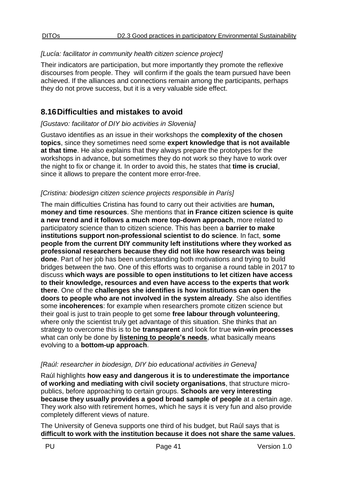### *[Lucía: facilitator in community health citizen science project]*

Their indicators are participation, but more importantly they promote the reflexive discourses from people. They will confirm if the goals the team pursued have been achieved. If the alliances and connections remain among the participants, perhaps they do not prove success, but it is a very valuable side effect.

# <span id="page-40-0"></span>**8.16Difficulties and mistakes to avoid**

#### *[Gustavo: facilitator of DIY bio activities in Slovenia]*

Gustavo identifies as an issue in their workshops the **complexity of the chosen topics**, since they sometimes need some **expert knowledge that is not available at that time**. He also explains that they always prepare the prototypes for the workshops in advance, but sometimes they do not work so they have to work over the night to fix or change it. In order to avoid this, he states that **time is crucial**, since it allows to prepare the content more error-free.

### *[Cristina: biodesign citizen science projects responsible in París]*

The main difficulties Cristina has found to carry out their activities are **human, money and time resources**. She mentions that **in France citizen science is quite a new trend and it follows a much more top-down approach**, more related to participatory science than to citizen science. This has been a **barrier to make institutions support non-professional scientist to do science**. In fact, **some people from the current DIY community left institutions where they worked as professional researchers because they did not like how research was being done**. Part of her job has been understanding both motivations and trying to build bridges between the two. One of this efforts was to organise a round table in 2017 to discuss **which ways are possible to open institutions to let citizen have access to their knowledge, resources and even have access to the experts that work there**. One of the **challenges she identifies is how institutions can open the doors to people who are not involved in the system already**. She also identifies some **incoherences**: for example when researchers promote citizen science but their goal is just to train people to get some **free labour through volunteering**, where only the scientist truly get advantage of this situation. She thinks that an strategy to overcome this is to be **transparent** and look for true **win-win processes** what can only be done by **listening to people's needs**, what basically means evolving to a **bottom-up approach**.

### *[Raúl: researcher in biodesign, DIY bio educational activities in Geneva]*

Raúl highlights **how easy and dangerous it is to underestimate the importance of working and mediating with civil society organisations**, that structure micropublics, before approaching to certain groups. **Schools are very interesting because they usually provides a good broad sample of people** at a certain age. They work also with retirement homes, which he says it is very fun and also provide completely different views of nature.

The University of Geneva supports one third of his budget, but Raúl says that is **difficult to work with the institution because it does not share the same values**.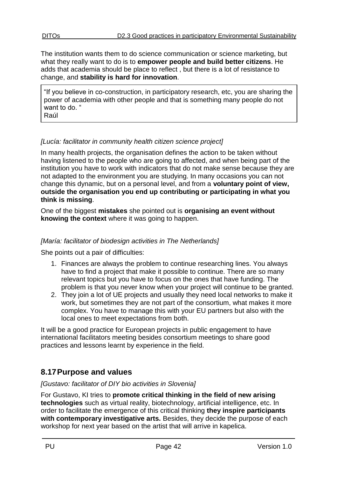The institution wants them to do science communication or science marketing, but what they really want to do is to **empower people and build better citizens**. He adds that academia should be place to reflect , but there is a lot of resistance to change, and **stability is hard for innovation**.

"If you believe in co-construction, in participatory research, etc, you are sharing the power of academia with other people and that is something many people do not want to do. " Raúl

### *[Lucía: facilitator in community health citizen science project]*

In many health projects, the organisation defines the action to be taken without having listened to the people who are going to affected, and when being part of the institution you have to work with indicators that do not make sense because they are not adapted to the environment you are studying. In many occasions you can not change this dynamic, but on a personal level, and from a **voluntary point of view, outside the organisation you end up contributing or participating in what you think is missing**.

One of the biggest **mistakes** she pointed out is **organising an event without knowing the context** where it was going to happen.

#### *[María: facilitator of biodesign activities in The Netherlands]*

She points out a pair of difficulties:

- 1. Finances are always the problem to continue researching lines. You always have to find a project that make it possible to continue. There are so many relevant topics but you have to focus on the ones that have funding. The problem is that you never know when your project will continue to be granted.
- 2. They join a lot of UE projects and usually they need local networks to make it work, but sometimes they are not part of the consortium, what makes it more complex. You have to manage this with your EU partners but also with the local ones to meet expectations from both.

It will be a good practice for European projects in public engagement to have international facilitators meeting besides consortium meetings to share good practices and lessons learnt by experience in the field.

# <span id="page-41-0"></span>**8.17Purpose and values**

#### *[Gustavo: facilitator of DIY bio activities in Slovenia]*

For Gustavo, KI tries to **promote critical thinking in the field of new arising technologies** such as virtual reality, biotechnology, artificial intelligence, etc. In order to facilitate the emergence of this critical thinking **they inspire participants with contemporary investigative arts.** Besides, they decide the purpose of each workshop for next year based on the artist that will arrive in kapelica.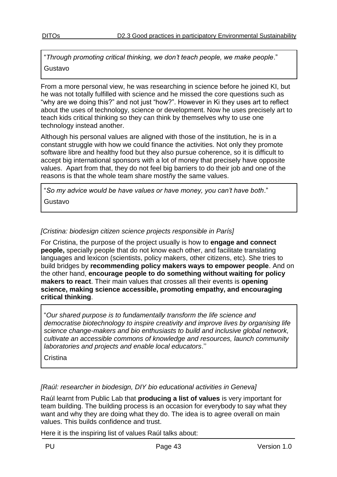"*Through promoting critical thinking, we don't teach people, we make people*." Gustavo

#### From a more personal view, he was researching in science before he joined KI, but he was not totally fulfilled with science and he missed the core questions such as "why are we doing this?" and not just "how?". However in Ki they uses art to reflect about the uses of technology, science or development. Now he uses precisely art to teach kids critical thinking so they can think by themselves why to use one technology instead another.

Although his personal values are aligned with those of the institution, he is in a constant struggle with how we could finance the activities. Not only they promote software libre and healthy food but they also pursue coherence, so it is difficult to accept big international sponsors with a lot of money that precisely have opposite values. Apart from that, they do not feel big barriers to do their job and one of the reasons is that the whole team share mostñy the same values.

"*So my advice would be have values or have money, you can't have both*." Gustavo

#### *[Cristina: biodesign citizen science projects responsible in París]*

For Cristina, the purpose of the project usually is how to **engage and connect people,** specially people that do not know each other, and facilitate translating languages and lexicon (scientists, policy makers, other citizens, etc). She tries to build bridges by **recommending policy makers ways to empower people**. And on the other hand, **encourage people to do something without waiting for policy makers to react**. Their main values that crosses all their events is **opening science, making science accessible, promoting empathy, and encouraging critical thinking**.

"*Our shared purpose is to fundamentally transform the life science and democratise biotechnology to inspire creativity and improve lives by organising life science change-makers and bio enthusiasts to build and inclusive global network, cultivate an accessible commons of knowledge and resources, launch community laboratories and projects and enable local educators*.''

**Cristina** 

#### *[Raúl: researcher in biodesign, DIY bio educational activities in Geneva]*

Raúl learnt from Public Lab that **producing a list of values** is very important for team building. The building process is an occasion for everybody to say what they want and why they are doing what they do. The idea is to agree overall on main values. This builds confidence and trust.

Here it is the inspiring list of values Raúl talks about: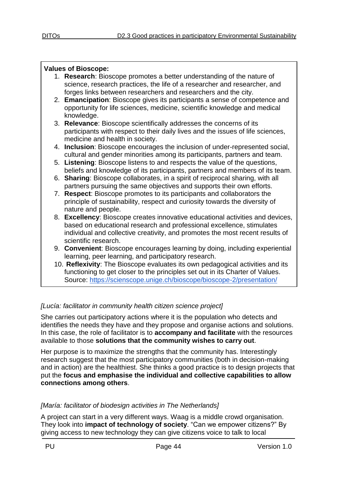#### **Values of Bioscope:**

- 1. **Research**: Bioscope promotes a better understanding of the nature of science, research practices, the life of a researcher and researcher, and forges links between researchers and researchers and the city.
- 2. **Emancipation**: Bioscope gives its participants a sense of competence and opportunity for life sciences, medicine, scientific knowledge and medical knowledge.
- 3. **Relevance**: Bioscope scientifically addresses the concerns of its participants with respect to their daily lives and the issues of life sciences, medicine and health in society.
- 4. **Inclusion**: Bioscope encourages the inclusion of under-represented social, cultural and gender minorities among its participants, partners and team.
- 5. **Listening**: Bioscope listens to and respects the value of the questions, beliefs and knowledge of its participants, partners and members of its team.
- 6. **Sharing**: Bioscope collaborates, in a spirit of reciprocal sharing, with all partners pursuing the same objectives and supports their own efforts.
- 7. **Respect**: Bioscope promotes to its participants and collaborators the principle of sustainability, respect and curiosity towards the diversity of nature and people.
- 8. **Excellency**: Bioscope creates innovative educational activities and devices, based on educational research and professional excellence, stimulates individual and collective creativity, and promotes the most recent results of scientific research.
- 9. **Convenient**: Bioscope encourages learning by doing, including experiential learning, peer learning, and participatory research.
- 10. **Reflexivity**: The Bioscope evaluates its own pedagogical activities and its functioning to get closer to the principles set out in its Charter of Values. Source:<https://scienscope.unige.ch/bioscope/bioscope-2/presentation/>

### *[Lucía: facilitator in community health citizen science project]*

She carries out participatory actions where it is the population who detects and identifies the needs they have and they propose and organise actions and solutions. In this case, the role of facilitator is to **accompany and facilitate** with the resources available to those **solutions that the community wishes to carry out**.

Her purpose is to maximize the strengths that the community has. Interestingly research suggest that the most participatory communities (both in decision-making and in action) are the healthiest. She thinks a good practice is to design projects that put the **focus and emphasise the individual and collective capabilities to allow connections among others**.

### *[María: facilitator of biodesign activities in The Netherlands]*

A project can start in a very different ways. Waag is a middle crowd organisation. They look into **impact of technology of society**. "Can we empower citizens?" By giving access to new technology they can give citizens voice to talk to local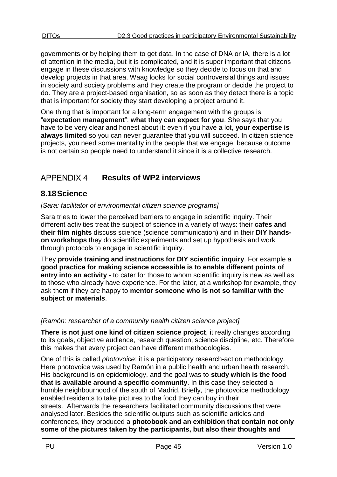governments or by helping them to get data. In the case of DNA or IA, there is a lot of attention in the media, but it is complicated, and it is super important that citizens engage in these discussions with knowledge so they decide to focus on that and develop projects in that area. Waag looks for social controversial things and issues in society and society problems and they create the program or decide the project to do. They are a project-based organisation, so as soon as they detect there is a topic that is important for society they start developing a project around it.

One thing that is important for a long-term engagement with the groups is "**expectation management**": **what they can expect for you**. She says that you have to be very clear and honest about it: even if you have a lot, **your expertise is always limited** so you can never guarantee that you will succeed. In citizen science projects, you need some mentality in the people that we engage, because outcome is not certain so people need to understand it since it is a collective research.

#### <span id="page-44-0"></span>**APPENDIX 4 Results of WP2 interviews**

# <span id="page-44-1"></span>**8.18Science**

*[Sara: facilitator of environmental citizen science programs]*

Sara tries to lower the perceived barriers to engage in scientific inquiry. Their different activities treat the subject of science in a variety of ways: their **cafes and their film nights** discuss science (science communication) and in their **DIY handson workshops** they do scientific experiments and set up hypothesis and work through protocols to engage in scientific inquiry.

They **provide training and instructions for DIY scientific inquiry**. For example a **good practice for making science accessible is to enable different points of entry into an activity** - to cater for those to whom scientific inquiry is new as well as to those who already have experience. For the later, at a workshop for example, they ask them if they are happy to **mentor someone who is not so familiar with the subject or materials**.

### *[Ramón: researcher of a community health citizen science project]*

**There is not just one kind of citizen science project**, it really changes according to its goals, objective audience, research question, science discipline, etc. Therefore this makes that every project can have different methodologies.

One of this is called *photovoice*: it is a participatory research-action methodology. Here photovoice was used by Ramón in a public health and urban health research. His background is on epidemiology, and the goal was to **study which is the food that is available around a specific community**. In this case they selected a humble neighbourhood of the south of Madrid. Briefly, the photovoice methodology enabled residents to take pictures to the food they can buy in their streets. Afterwards the researchers facilitated community discussions that were analysed later. Besides the scientific outputs such as scientific articles and conferences, they produced a **photobook and an exhibition that contain not only some of the pictures taken by the participants, but also their thoughts and**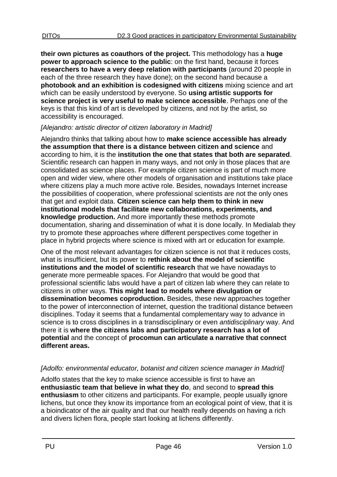**their own pictures as coauthors of the project.** This methodology has a **huge power to approach science to the public**: on the first hand, because it forces **researchers to have a very deep relation with participants** (around 20 people in each of the three research they have done); on the second hand because a **photobook and an exhibition is codesigned with citizens** mixing science and art which can be easily understood by everyone. So **using artistic supports for science project is very useful to make science accessible**. Perhaps one of the keys is that this kind of art is developed by citizens, and not by the artist, so accessibility is encouraged.

#### *[Alejandro: artistic director of citizen laboratory in Madrid]*

Alejandro thinks that talking about how to **make science accessible has already the assumption that there is a distance between citizen and science** and according to him, it is the **institution the one that states that both are separated**. Scientific research can happen in many ways, and not only in those places that are consolidated as science places. For example citizen science is part of much more open and wider view, where other models of organisation and institutions take place where citizens play a much more active role. Besides, nowadays Internet increase the possibilities of cooperation, where professional scientists are not the only ones that get and exploit data. **Citizen science can help them to think in new institutional models that facilitate new collaborations, experiments, and knowledge production.** And more importantly these methods promote documentation, sharing and dissemination of what it is done locally. In Medialab they try to promote these approaches where different perspectives come together in place in hybrid projects where science is mixed with art or education for example.

One of the most relevant advantages for citizen science is not that it reduces costs, what is insufficient, but its power to **rethink about the model of scientific institutions and the model of scientific research** that we have nowadays to generate more permeable spaces. For Alejandro that would be good that professional scientific labs would have a part of citizen lab where they can relate to citizens in other ways. **This might lead to models where divulgation or dissemination becomes coproduction.** Besides, these new approaches together to the power of interconnection of internet, question the traditional distance between disciplines. Today it seems that a fundamental complementary way to advance in science is to cross disciplines in a transdisciplinary or even *antidisciplinary* way. And there it is **where the citizens labs and participatory research has a lot of potential** and the concept of **procomun can articulate a narrative that connect different areas.**

### *[Adolfo: environmental educator, botanist and citizen science manager in Madrid]*

Adolfo states that the key to make science accessible is first to have an **enthusiastic team that believe in what they do**, and second to **spread this enthusiasm** to other citizens and participants. For example, people usually ignore lichens, but once they know its importance from an ecological point of view, that it is a bioindicator of the air quality and that our health really depends on having a rich and divers lichen flora, people start looking at lichens differently.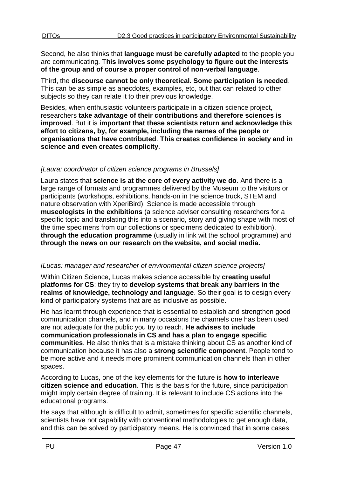Second, he also thinks that **language must be carefully adapted** to the people you are communicating. T**his involves some psychology to figure out the interests of the group and of course a proper control of non-verbal language**.

Third, the **discourse cannot be only theoretical. Some participation is needed**. This can be as simple as anecdotes, examples, etc, but that can related to other subjects so they can relate it to their previous knowledge.

Besides, when enthusiastic volunteers participate in a citizen science project, researchers **take advantage of their contributions and therefore sciences is improved**. But it is **important that these scientists return and acknowledge this effort to citizens, by, for example, including the names of the people or organisations that have contributed**. **This creates confidence in society and in science and even creates complicity**.

#### *[Laura: coordinator of citizen science programs in Brussels]*

Laura states that **science is at the core of every activity we do**. And there is a large range of formats and programmes delivered by the Museum to the visitors or participants (workshops, exhibitions, hands-on in the science truck, STEM and nature observation with XperiBird). Science is made accessible through **museologists in the exhibitions** (a science adviser consulting researchers for a specific topic and translating this into a scenario, story and giving shape with most of the time specimens from our collections or specimens dedicated to exhibition), **through the education programme** (usually in link wit the school programme) and **through the news on our research on the website, and social media.**

### *[Lucas: manager and researcher of environmental citizen science projects]*

Within Citizen Science, Lucas makes science accessible by **creating useful platforms for CS**: they try to **develop systems that break any barriers in the realms of knowledge, technology and language**. So their goal is to design every kind of participatory systems that are as inclusive as possible.

He has learnt through experience that is essential to establish and strengthen good communication channels, and in many occasions the channels one has been used are not adequate for the public you try to reach. **He advises to include communication professionals in CS and has a plan to engage specific communities**. He also thinks that is a mistake thinking about CS as another kind of communication because it has also a **strong scientific component**. People tend to be more active and it needs more prominent communication channels than in other spaces.

According to Lucas, one of the key elements for the future is **how to interleave citizen science and education**. This is the basis for the future, since participation might imply certain degree of training. It is relevant to include CS actions into the educational programs.

He says that although is difficult to admit, sometimes for specific scientific channels, scientists have not capability with conventional methodologies to get enough data, and this can be solved by participatory means. He is convinced that in some cases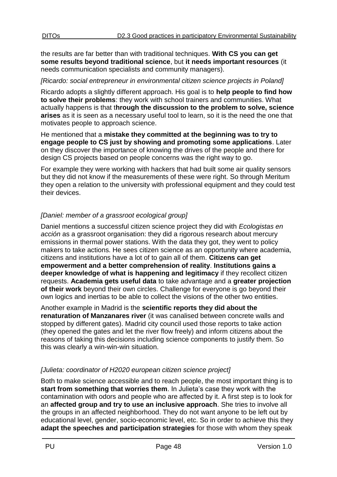the results are far better than with traditional techniques. **With CS you can get some results beyond traditional science**, but **it needs important resources** (it needs communication specialists and community managers).

#### *[Ricardo: social entrepreneur in environmental citizen science projects in Poland]*

Ricardo adopts a slightly different approach. His goal is to **help people to find how to solve their problems**: they work with school trainers and communities. What actually happens is that t**hrough the discussion to the problem to solve, science arises** as it is seen as a necessary useful tool to learn, so it is the need the one that motivates people to approach science.

He mentioned that a **mistake they committed at the beginning was to try to engage people to CS just by showing and promoting some applications**. Later on they discover the importance of knowing the drives of the people and there for design CS projects based on people concerns was the right way to go.

For example they were working with hackers that had built some air quality sensors but they did not know if the measurements of these were right. So through Meritum they open a relation to the university with professional equipment and they could test their devices.

### *[Daniel: member of a grassroot ecological group]*

Daniel mentions a successful citizen science project they did with *Ecologistas en acción* as a grassroot organisation: they did a rigorous research about mercury emissions in thermal power stations. With the data they got, they went to policy makers to take actions. He sees citizen science as an opportunity where academia, citizens and institutions have a lot of to gain all of them. **Citizens can get empowerment and a better comprehension of reality**. **Institutions gains a deeper knowledge of what is happening and legitimacy** if they recollect citizen requests. **Academia gets useful data** to take advantage and a **greater projection of their work** beyond their own circles. Challenge for everyone is go beyond their own logics and inertias to be able to collect the visions of the other two entities.

Another example in Madrid is the **scientific reports they did about the renaturation of Manzanares river** (it was canalised between concrete walls and stopped by different gates). Madrid city council used those reports to take action (they opened the gates and let the river flow freely) and inform citizens about the reasons of taking this decisions including science components to justify them. So this was clearly a win-win-win situation.

### *[Julieta: coordinator of H2020 european citizen science project]*

Both to make science accessible and to reach people, the most important thing is to **start from something that worries them**. In Julieta's case they work with the contamination with odors and people who are affected by it. A first step is to look for an **affected group and try to use an inclusive approach**. She tries to involve all the groups in an affected neighborhood. They do not want anyone to be left out by educational level, gender, socio-economic level, etc. So in order to achieve this they **adapt the speeches and participation strategies** for those with whom they speak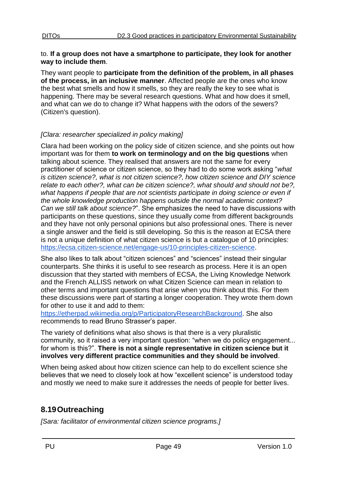#### to. **If a group does not have a smartphone to participate, they look for another way to include them**.

They want people to **participate from the definition of the problem, in all phases of the process, in an inclusive manner**. Affected people are the ones who know the best what smells and how it smells, so they are really the key to see what is happening. There may be several research questions. What and how does it smell, and what can we do to change it? What happens with the odors of the sewers? (Citizen's question).

### *[Clara: researcher specialized in policy making]*

Clara had been working on the policy side of citizen science, and she points out how important was for them **to work on terminology and on the big questions** when talking about science. They realised that answers are not the same for every practitioner of science or citizen science, so they had to do some work asking "*what is citizen science?, what is not citizen science?, how citizen science and DIY science relate to each other?, what can be citizen science?, what should and should not be?, what happens if people that are not scientists participate in doing science or even if the whole knowledge production happens outside the normal academic context? Can we still talk about science?*". She emphasizes the need to have discussions with participants on these questions, since they usually come from different backgrounds and they have not only personal opinions but also professional ones. There is never a single answer and the field is still developing. So this is the reason at ECSA there is not a unique definition of what citizen science is but a catalogue of 10 principles: [https://ecsa.citizen-science.net/engage-us/10-principles-citizen-science.](https://ecsa.citizen-science.net/engage-us/10-principles-citizen-science)

She also likes to talk about "citizen sciences" and "sciences" instead their singular counterparts. She thinks it is useful to see research as process. Here it is an open discussion that they started with members of ECSA, the Living Knowledge Network and the French ALLISS network on what Citizen Science can mean in relation to other terms and important questions that arise when you think about this. For them these discussions were part of starting a longer cooperation. They wrote them down for other to use it and add to them:

[https://etherpad.wikimedia.org/p/ParticipatoryResearchBackground.](https://etherpad.wikimedia.org/p/ParticipatoryResearchBackground) She also recommends to read Bruno Strasser's paper.

The variety of definitions what also shows is that there is a very pluralistic community, so it raised a very important question: "when we do policy engagement... for whom is this?". **There is not a single representative in citizen science but it involves very different practice communities and they should be involved**.

When being asked about how citizen science can help to do excellent science she believes that we need to closely look at how "excellent science" is understood today and mostly we need to make sure it addresses the needs of people for better lives.

# <span id="page-48-0"></span>**8.19Outreaching**

*[Sara: facilitator of environmental citizen science programs.]*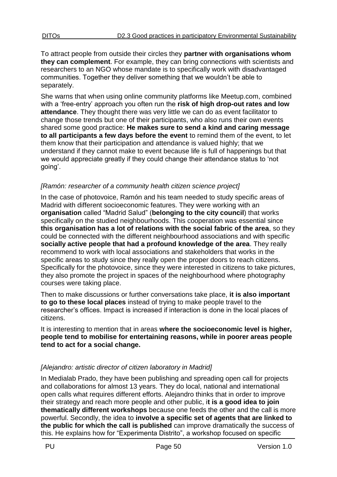To attract people from outside their circles they **partner with organisations whom they can complement**. For example, they can bring connections with scientists and researchers to an NGO whose mandate is to specifically work with disadvantaged communities. Together they deliver something that we wouldn't be able to separately.

She warns that when using online community platforms like Meetup.com, combined with a 'free-entry' approach you often run the **risk of high drop-out rates and low attendance**. They thought there was very little we can do as event facilitator to change those trends but one of their participants, who also runs their own events shared some good practice: **He makes sure to send a kind and caring message to all participants a few days before the event** to remind them of the event, to let them know that their participation and attendance is valued highly; that we understand if they cannot make to event because life is full of happenings but that we would appreciate greatly if they could change their attendance status to 'not going'.

### *[Ramón: researcher of a community health citizen science project]*

In the case of photovoice, Ramón and his team needed to study specific areas of Madrid with different socioeconomic features. They were working with an **organisation** called "Madrid Salud" (**belonging to the city council**) that works specifically on the studied neighbourhoods. This cooperation was essential since **this organisation has a lot of relations with the social fabric of the area**, so they could be connected with the different neighbourhood associations and with specific **socially active people that had a profound knowledge of the area**. They really recommend to work with local associations and stakeholders that works in the specific areas to study since they really open the proper doors to reach citizens. Specifically for the photovoice, since they were interested in citizens to take pictures, they also promote the project in spaces of the neighbourhood where photography courses were taking place.

Then to make discussions or further conversations take place, **it is also important to go to these local places** instead of trying to make people travel to the researcher's offices. Impact is increased if interaction is done in the local places of citizens.

It is interesting to mention that in areas **where the socioeconomic level is higher, people tend to mobilise for entertaining reasons, while in poorer areas people tend to act for a social change.**

# *[Alejandro: artistic director of citizen laboratory in Madrid]*

In Medialab Prado, they have been publishing and spreading open call for projects and collaborations for almost 13 years. They do local, national and international open calls what requires different efforts. Alejandro thinks that in order to improve their strategy and reach more people and other public, i**t is a good idea to join thematically different workshops** because one feeds the other and the call is more powerful. Secondly, the idea to **involve a specific set of agents that are linked to the public for which the call is published** can improve dramatically the success of this. He explains how for "Experimenta Distrito", a workshop focused on specific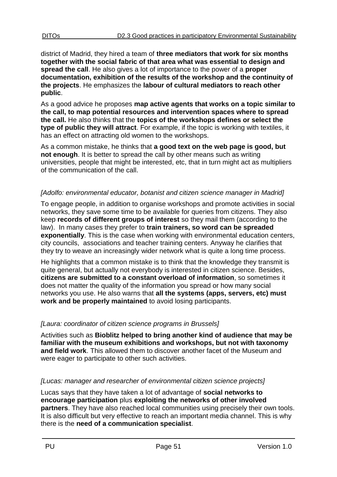district of Madrid, they hired a team of **three mediators that work for six months together with the social fabric of that area what was essential to design and spread the call**. He also gives a lot of importance to the power of a **proper documentation, exhibition of the results of the workshop and the continuity of the projects**. He emphasizes the **labour of cultural mediators to reach other public**.

As a good advice he proposes **map active agents that works on a topic similar to the call, to map potential resources and intervention spaces where to spread the call.** He also thinks that the **topics of the workshops defines or select the type of public they will attract**. For example, if the topic is working with textiles, it has an effect on attracting old women to the workshops.

As a common mistake, he thinks that **a good text on the web page is good, but not enough**. It is better to spread the call by other means such as writing universities, people that might be interested, etc, that in turn might act as multipliers of the communication of the call.

#### *[Adolfo: environmental educator, botanist and citizen science manager in Madrid]*

To engage people, in addition to organise workshops and promote activities in social networks, they save some time to be available for queries from citizens. They also keep **records of different groups of interest** so they mail them (according to the law). In many cases they prefer to **train trainers, so word can be spreaded exponentially**. This is the case when working with environmental education centers, city councils, associations and teacher training centers. Anyway he clarifies that they try to weave an increasingly wider network what is quite a long time process.

He highlights that a common mistake is to think that the knowledge they transmit is quite general, but actually not everybody is interested in citizen science. Besides, **citizens are submitted to a constant overload of information**, so sometimes it does not matter the quality of the information you spread or how many social networks you use. He also warns that **all the systems (apps, servers, etc) must work and be properly maintained** to avoid losing participants.

#### *[Laura: coordinator of citizen science programs in Brussels]*

Activities such as **Bioblitz helped to bring another kind of audience that may be familiar with the museum exhibitions and workshops, but not with taxonomy and field work**. This allowed them to discover another facet of the Museum and were eager to participate to other such activities.

#### *[Lucas: manager and researcher of environmental citizen science projects]*

Lucas says that they have taken a lot of advantage of **social networks to encourage participation** plus **exploiting the networks of other involved partners**. They have also reached local communities using precisely their own tools. It is also difficult but very effective to reach an important media channel. This is why there is the **need of a communication specialist**.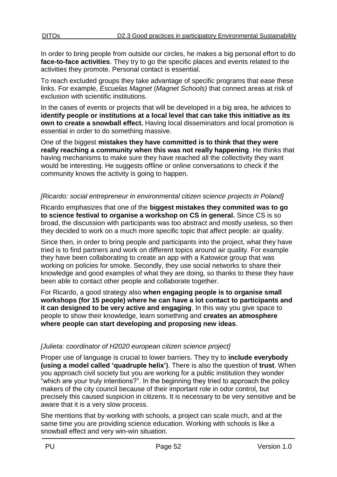In order to bring people from outside our circles, he makes a big personal effort to do **face-to-face activities**. They try to go the specific places and events related to the activities they promote. Personal contact is essential.

To reach excluded groups they take advantage of specific programs that ease these links. For example, *Escuelas Magnet* (*Magnet Schools)* that connect areas at risk of exclusion with scientific institutions.

In the cases of events or projects that will be developed in a big area, he advices to **identify people or institutions at a local level that can take this initiative as its own to create a snowball effect.** Having local disseminators and local promotion is essential in order to do something massive.

One of the biggest **mistakes they have committed is to think that they were really reaching a community when this was not really happening**. He thinks that having mechanisms to make sure they have reached all the collectivity they want would be interesting. He suggests offline or online conversations to check if the community knows the activity is going to happen.

#### *[Ricardo: social entrepreneur in environmental citizen science projects in Poland]*

Ricardo emphasizes that one of the **biggest mistakes they commited was to go to science festival to organise a workshop on CS in general.** Since CS is so broad, the discussion with participants was too abstract and mostly useless, so then they decided to work on a much more specific topic that affect people: air quality.

Since then, in order to bring people and participants into the project, what they have tried is to find partners and work on different topics around air quality. For example they have been collaborating to create an app with a Katowice group that was working on policies for smoke. Secondly, they use social networks to share their knowledge and good examples of what they are doing, so thanks to these they have been able to contact other people and collaborate together.

For Ricardo, a good strategy also **when engaging people is to organise small workshops (for 15 people) where he can have a lot contact to participants and it can designed to be very active and engaging**. In this way you give space to people to show their knowledge, learn something and **creates an atmosphere where people can start developing and proposing new ideas**.

### *[Julieta: coordinator of H2020 european citizen science project]*

Proper use of language is crucial to lower barriers. They try to **include everybody (using a model called 'quadruple helix')**. There is also the question of **trust**. When you approach civil society but you are working for a public institution they wonder "which are your truly intentions?". In the beginning they tried to approach the policy makers of the city council because of their important role in odor control, but precisely this caused suspicion in citizens. It is necessary to be very sensitive and be aware that it is a very slow process.

She mentions that by working with schools, a project can scale much, and at the same time you are providing science education. Working with schools is like a snowball effect and very win-win situation.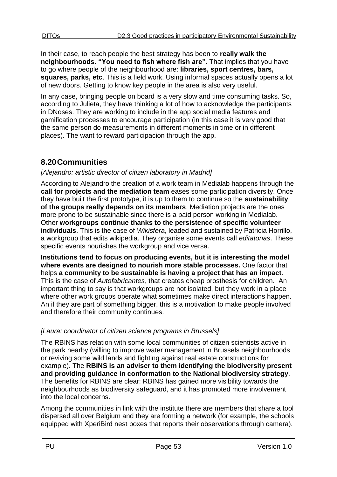In their case, to reach people the best strategy has been to **really walk the neighbourhoods**. **"You need to fish where fish are"**. That implies that you have to go where people of the neighbourhood are: **libraries, sport centres, bars, squares, parks, etc**. This is a field work. Using informal spaces actually opens a lot of new doors. Getting to know key people in the area is also very useful.

In any case, bringing people on board is a very slow and time consuming tasks. So, according to Julieta, they have thinking a lot of how to acknowledge the participants in DNoses. They are working to include in the app social media features and gamification processes to encourage participation (in this case it is very good that the same person do measurements in different moments in time or in different places). The want to reward participacion through the app.

# <span id="page-52-0"></span>**8.20Communities**

### *[Alejandro: artistic director of citizen laboratory in Madrid]*

According to Alejandro the creation of a work team in Medialab happens through the **call for projects and the mediation team** eases some participation diversity. Once they have built the first prototype, it is up to them to continue so the **sustainability of the groups really depends on its members**. Mediation projects are the ones more prone to be sustainable since there is a paid person working in Medialab. Other **workgroups continue thanks to the persistence of specific volunteer individuals**. This is the case of *Wikisfera*, leaded and sustained by Patricia Horrillo, a workgroup that edits wikipedia. They organise some events call *editatonas*. These specific events nourishes the workgroup and vice versa.

**Institutions tend to focus on producing events, but it is interesting the model where events are designed to nourish more stable processes.** One factor that helps **a community to be sustainable is having a project that has an impact**. This is the case of *Autofabricantes*, that creates cheap prosthesis for children. An important thing to say is that workgroups are not isolated, but they work in a place where other work groups operate what sometimes make direct interactions happen. An if they are part of something bigger, this is a motivation to make people involved and therefore their community continues.

### *[Laura: coordinator of citizen science programs in Brussels]*

The RBINS has relation with some local communities of citizen scientists active in the park nearby (willing to improve water management in Brussels neighbourhoods or reviving some wild lands and fighting against real estate constructions for example). The **RBINS is an adviser to them identifying the biodiversity present and providing guidance in conformation to the National biodiversity strategy**. The benefits for RBINS are clear: RBINS has gained more visibility towards the neighbourhoods as biodiversity safeguard, and it has promoted more involvement into the local concerns.

Among the communities in link with the institute there are members that share a tool dispersed all over Belgium and they are forming a network (for example, the schools equipped with XperiBird nest boxes that reports their observations through camera).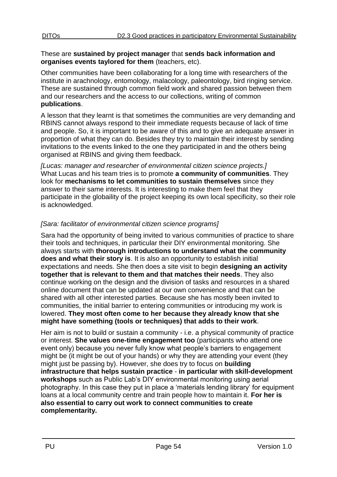#### These are **sustained by project manager** that **sends back information and organises events taylored for them** (teachers, etc).

Other communities have been collaborating for a long time with researchers of the institute in arachnology, entomology, malacology, paleontology, bird ringing service. These are sustained through common field work and shared passion between them and our researchers and the access to our collections, writing of common **publications**.

A lesson that they learnt is that sometimes the communities are very demanding and RBINS cannot always respond to their immediate requests because of lack of time and people. So, it is important to be aware of this and to give an adequate answer in proportion of what they can do. Besides they try to maintain their interest by sending invitations to the events linked to the one they participated in and the others being organised at RBINS and giving them feedback.

*[Lucas: manager and researcher of environmental citizen science projects.]* What Lucas and his team tries is to promote **a community of communities**. They look for **mechanisms to let communities to sustain themselves** since they answer to their same interests. It is interesting to make them feel that they participate in the globaility of the project keeping its own local specificity, so their role is acknowledged.

# *[Sara: facilitator of environmental citizen science programs]*

Sara had the opportunity of being invited to various communities of practice to share their tools and techniques, in particular their DIY environmental monitoring. She always starts with **thorough introductions to understand what the community does and what their story is**. It is also an opportunity to establish initial expectations and needs. She then does a site visit to begin **designing an activity together that is relevant to them and that matches their needs**. They also continue working on the design and the division of tasks and resources in a shared online document that can be updated at our own convenience and that can be shared with all other interested parties. Because she has mostly been invited to communities, the initial barrier to entering communities or introducing my work is lowered. **They most often come to her because they already know that she might have something (tools or techniques) that adds to their work**.

Her aim is not to build or sustain a community - i.e. a physical community of practice or interest. **She values one-time engagement too** (participants who attend one event only) because you never fully know what people's barriers to engagement might be (it might be out of your hands) or why they are attending your event (they might just be passing by). However, she does try to focus on **building infrastructure that helps sustain practice** - **in particular with skill-development workshops** such as Public Lab's DIY environmental monitoring using aerial photography. In this case they put in place a 'materials lending library' for equipment loans at a local community centre and train people how to maintain it. **For her is also essential to carry out work to connect communities to create complementarity.**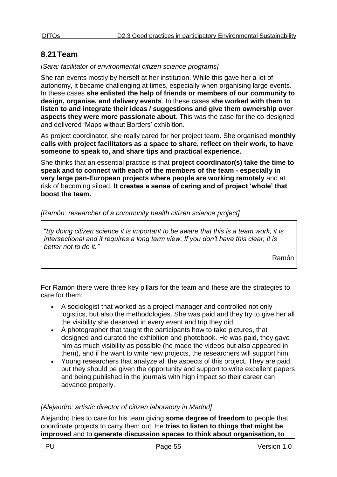# <span id="page-54-0"></span>**8.21Team**

#### *[Sara: facilitator of environmental citizen science programs]*

She ran events mostly by herself at her institution. While this gave her a lot of autonomy, it became challenging at times, especially when organising large events. In these cases **she enlisted the help of friends or members of our community to design, organise, and delivery events**. In these cases **she worked with them to listen to and integrate their ideas / suggestions and give them ownership over aspects they were more passionate about**. This was the case for the co-designed and delivered 'Maps without Borders' exhibition.

As project coordinator, she really cared for her project team. She organised **monthly calls with project facilitators as a space to share, reflect on their work, to have someone to speak to, and share tips and practical experience.** 

She thinks that an essential practice is that **project coordinator(s) take the time to speak and to connect with each of the members of the team - especially in very large pan-European projects where people are working remotely** and at risk of becoming siloed. **It creates a sense of caring and of project 'whole' that boost the team.** 

#### *[Ramón: researcher of a community health citizen science project]*

"*By doing citizen science it is important to be aware that this is a team work, it is intersectional and it requires a long term view. If you don't have this clear, it is better not to do it."*

Ramón

For Ramón there were three key pillars for the team and these are the strategies to care for them:

- A sociologist that worked as a project manager and controlled not only logistics, but also the methodologies. She was paid and they try to give her all the visibility she deserved in every event and trip they did.
- A photographer that taught the participants how to take pictures, that designed and curated the exhibition and photobook. He was paid, they gave him as much visibility as possible (he made the videos but also appeared in them), and if he want to write new projects, the researchers will support him.
- Young researchers that analyze all the aspects of this project. They are paid, but they should be given the opportunity and support to write excellent papers and being published in the journals with high impact so their career can advance properly.

### *[Alejandro: artistic director of citizen laboratory in Madrid]*

Alejandro tries to care for his team giving **some degree of freedom** to people that coordinate projects to carry them out. He **tries to listen to things that might be improved** and to **generate discussion spaces to think about organisation, to**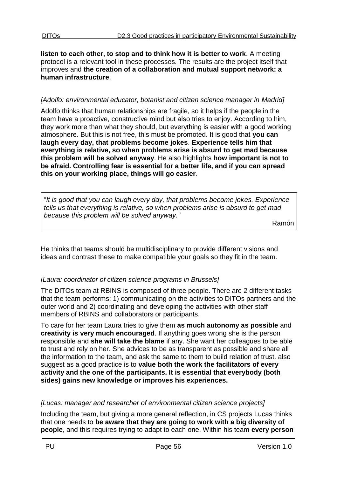**listen to each other, to stop and to think how it is better to work**. A meeting protocol is a relevant tool in these processes. The results are the project itself that improves and **the creation of a collaboration and mutual support network: a human infrastructure**.

#### *[Adolfo: environmental educator, botanist and citizen science manager in Madrid]*

Adolfo thinks that human relationships are fragile, so it helps if the people in the team have a proactive, constructive mind but also tries to enjoy. According to him, they work more than what they should, but everything is easier with a good working atmosphere. But this is not free, this must be promoted. It is good that **you can laugh every day, that problems become jokes**. **Experience tells him that everything is relative, so when problems arise is absurd to get mad because this problem will be solved anyway**. He also highlights **how important is not to be afraid. Controlling fear is essential for a better life, and if you can spread this on your working place, things will go easier**.

"*It is good that you can laugh every day, that problems become jokes. Experience tells us that everything is relative, so when problems arise is absurd to get mad because this problem will be solved anyway."*

Ramón

He thinks that teams should be multidisciplinary to provide different visions and ideas and contrast these to make compatible your goals so they fit in the team.

### *[Laura: coordinator of citizen science programs in Brussels]*

The DITOs team at RBINS is composed of three people. There are 2 different tasks that the team performs: 1) communicating on the activities to DITOs partners and the outer world and 2) coordinating and developing the activities with other staff members of RBINS and collaborators or participants.

To care for her team Laura tries to give them **as much autonomy as possible** and **creativity is very much encouraged**. If anything goes wrong she is the person responsible and **she will take the blame** if any. She want her colleagues to be able to trust and rely on her. She advices to be as transparent as possible and share all the information to the team, and ask the same to them to build relation of trust. also suggest as a good practice is to **value both the work the facilitators of every activity and the one of the participants. It is essential that everybody (both sides) gains new knowledge or improves his experiences.**

### *[Lucas: manager and researcher of environmental citizen science projects]*

Including the team, but giving a more general reflection, in CS projects Lucas thinks that one needs to **be aware that they are going to work with a big diversity of people**, and this requires trying to adapt to each one. Within his team **every person**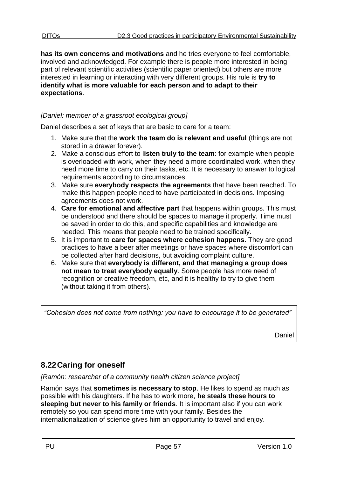**has its own concerns and motivations** and he tries everyone to feel comfortable, involved and acknowledged. For example there is people more interested in being part of relevant scientific activities (scientific paper oriented) but others are more interested in learning or interacting with very different groups. His rule is **try to identify what is more valuable for each person and to adapt to their expectations**.

#### *[Daniel: member of a grassroot ecological group]*

Daniel describes a set of keys that are basic to care for a team:

- 1. Make sure that the **work the team do is relevant and useful** (things are not stored in a drawer forever).
- 2. Make a conscious effort to l**isten truly to the team**: for example when people is overloaded with work, when they need a more coordinated work, when they need more time to carry on their tasks, etc. It is necessary to answer to logical requirements according to circumstances.
- 3. Make sure **everybody respects the agreements** that have been reached. To make this happen people need to have participated in decisions. Imposing agreements does not work.
- 4. **Care for emotional and affective part** that happens within groups. This must be understood and there should be spaces to manage it properly. Time must be saved in order to do this, and specific capabilities and knowledge are needed. This means that people need to be trained specifically.
- 5. It is important to **care for spaces where cohesion happens**. They are good practices to have a beer after meetings or have spaces where discomfort can be collected after hard decisions, but avoiding complaint culture.
- 6. Make sure that **everybody is different, and that managing a group does not mean to treat everybody equally**. Some people has more need of recognition or creative freedom, etc, and it is healthy to try to give them (without taking it from others).

*"Cohesion does not come from nothing: you have to encourage it to be generated"*

Daniel

# <span id="page-56-0"></span>**8.22Caring for oneself**

*[Ramón: researcher of a community health citizen science project]*

Ramón says that **sometimes is necessary to stop**. He likes to spend as much as possible with his daughters. If he has to work more, **he steals these hours to sleeping but never to his family or friends**. It is important also if you can work remotely so you can spend more time with your family. Besides the internationalization of science gives him an opportunity to travel and enjoy.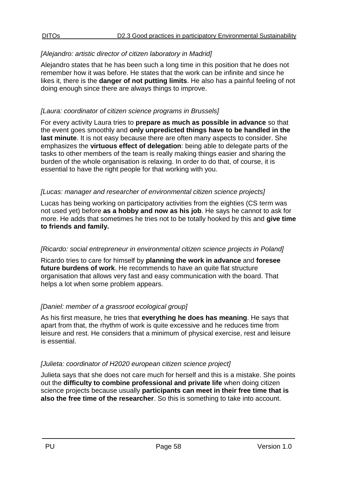#### *[Alejandro: artistic director of citizen laboratory in Madrid]*

Alejandro states that he has been such a long time in this position that he does not remember how it was before. He states that the work can be infinite and since he likes it, there is the **danger of not putting limits**. He also has a painful feeling of not doing enough since there are always things to improve.

#### *[Laura: coordinator of citizen science programs in Brussels]*

For every activity Laura tries to **prepare as much as possible in advance** so that the event goes smoothly and **only unpredicted things have to be handled in the last minute**. It is not easy because there are often many aspects to consider. She emphasizes the **virtuous effect of delegation**: being able to delegate parts of the tasks to other members of the team is really making things easier and sharing the burden of the whole organisation is relaxing. In order to do that, of course, it is essential to have the right people for that working with you.

#### *[Lucas: manager and researcher of environmental citizen science projects]*

Lucas has being working on participatory activities from the eighties (CS term was not used yet) before **as a hobby and now as his job**. He says he cannot to ask for more. He adds that sometimes he tries not to be totally hooked by this and **give time to friends and family.** 

#### *[Ricardo: social entrepreneur in environmental citizen science projects in Poland]*

Ricardo tries to care for himself by **planning the work in advance** and **foresee future burdens of work**. He recommends to have an quite flat structure organisation that allows very fast and easy communication with the board. That helps a lot when some problem appears.

#### *[Daniel: member of a grassroot ecological group]*

As his first measure, he tries that **everything he does has meaning**. He says that apart from that, the rhythm of work is quite excessive and he reduces time from leisure and rest. He considers that a minimum of physical exercise, rest and leisure is essential.

#### *[Julieta: coordinator of H2020 european citizen science project]*

Julieta says that she does not care much for herself and this is a mistake. She points out the **difficulty to combine professional and private life** when doing citizen science projects because usually **participants can meet in their free time that is also the free time of the researcher**. So this is something to take into account.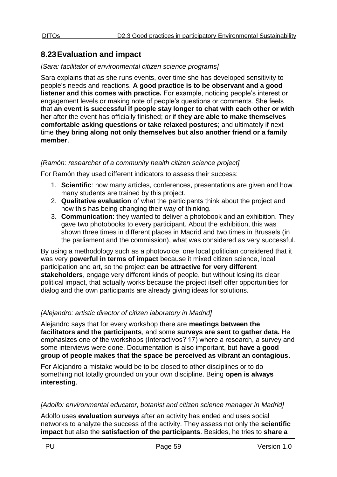# <span id="page-58-0"></span>**8.23Evaluation and impact**

#### *[Sara: facilitator of environmental citizen science programs]*

Sara explains that as she runs events, over time she has developed sensitivity to people's needs and reactions. **A good practice is to be observant and a good listener and this comes with practice.** For example, noticing people's interest or engagement levels or making note of people's questions or comments. She feels that **an event is successful if people stay longer to chat with each other or with her** after the event has officially finished; or if **they are able to make themselves comfortable asking questions or take relaxed postures**; and ultimately if next time **they bring along not only themselves but also another friend or a family member**.

#### *[Ramón: researcher of a community health citizen science project]*

For Ramón they used different indicators to assess their success:

- 1. **Scientific**: how many articles, conferences, presentations are given and how many students are trained by this project.
- 2. **Qualitative evaluation** of what the participants think about the project and how this has being changing their way of thinking.
- 3. **Communication**: they wanted to deliver a photobook and an exhibition. They gave two photobooks to every participant. About the exhibition, this was shown three times in different places in Madrid and two times in Brussels (in the parliament and the commission), what was considered as very successful.

By using a methodology such as a photovoice, one local politician considered that it was very **powerful in terms of impact** because it mixed citizen science, local participation and art, so the project **can be attractive for very different stakeholders**, engage very different kinds of people, but without losing its clear political impact, that actually works because the project itself offer opportunities for dialog and the own participants are already giving ideas for solutions.

#### *[Alejandro: artistic director of citizen laboratory in Madrid]*

Alejandro says that for every workshop there are **meetings between the facilitators and the participants**, and some **surveys are sent to gather data.** He emphasizes one of the workshops (Interactivos?'17) where a research, a survey and some interviews were done. Documentation is also important, but **have a good group of people makes that the space be perceived as vibrant an contagious**.

For Alejandro a mistake would be to be closed to other disciplines or to do something not totally grounded on your own discipline. Being **open is always interesting**.

#### *[Adolfo: environmental educator, botanist and citizen science manager in Madrid]*

Adolfo uses **evaluation surveys** after an activity has ended and uses social networks to analyze the success of the activity. They assess not only the **scientific impact** but also the **satisfaction of the participants**. Besides, he tries to **share a**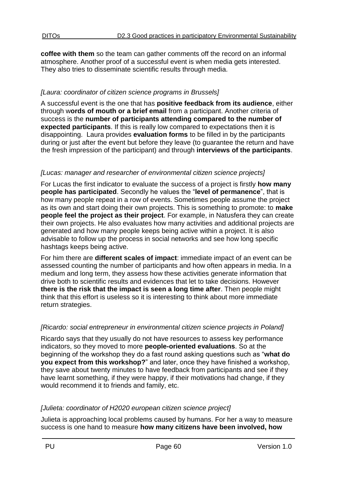**coffee with them** so the team can gather comments off the record on an informal atmosphere. Another proof of a successful event is when media gets interested. They also tries to disseminate scientific results through media.

### *[Laura: coordinator of citizen science programs in Brussels]*

A successful event is the one that has **positive feedback from its audience**, either through w**ords of mouth or a brief email** from a participant. Another criteria of success is the **number of participants attending compared to the number of expected participants**. If this is really low compared to expectations then it is disappointing. Laura provides **evaluation forms** to be filled in by the participants during or just after the event but before they leave (to guarantee the return and have the fresh impression of the participant) and through **interviews of the participants**.

### *[Lucas: manager and researcher of environmental citizen science projects]*

For Lucas the first indicator to evaluate the success of a project is firstly **how many people has participated**. Secondly he values the "**level of permanence**", that is how many people repeat in a row of events. Sometimes people assume the project as its own and start doing their own projects. This is something to promote: to **make people feel the project as their project**. For example, in Natusfera they can create their own projects. He also evaluates how many activities and additional projects are generated and how many people keeps being active within a project. It is also advisable to follow up the process in social networks and see how long specific hashtags keeps being active.

For him there are **different scales of impact**: immediate impact of an event can be assessed counting the number of participants and how often appears in media. In a medium and long term, they assess how these activities generate information that drive both to scientific results and evidences that let to take decisions. However **there is the risk that the impact is seen a long time after**. Then people might think that this effort is useless so it is interesting to think about more immediate return strategies.

#### *[Ricardo: social entrepreneur in environmental citizen science projects in Poland]*

Ricardo says that they usually do not have resources to assess key performance indicators, so they moved to more **people-oriented evaluations**. So at the beginning of the workshop they do a fast round asking questions such as "**what do you expect from this workshop?**" and later, once they have finished a workshop, they save about twenty minutes to have feedback from participants and see if they have learnt something, if they were happy, if their motivations had change, if they would recommend it to friends and family, etc.

#### *[Julieta: coordinator of H2020 european citizen science project]*

Julieta is approaching local problems caused by humans. For her a way to measure success is one hand to measure **how many citizens have been involved, how**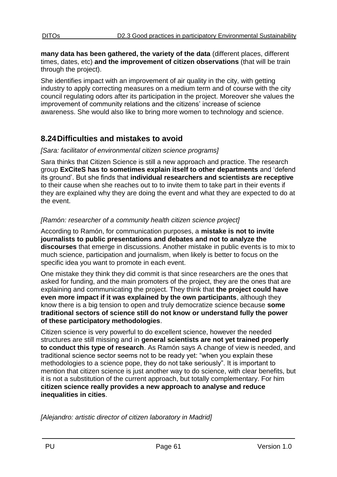**many data has been gathered, the variety of the data** (different places, different times, dates, etc) **and the improvement of citizen observations** (that will be train through the project).

She identifies impact with an improvement of air quality in the city, with getting industry to apply correcting measures on a medium term and of course with the city council regulating odors after its participation in the project. Moreover she values the improvement of community relations and the citizens' increase of science awareness. She would also like to bring more women to technology and science.

# <span id="page-60-0"></span>**8.24Difficulties and mistakes to avoid**

#### *[Sara: facilitator of environmental citizen science programs]*

Sara thinks that Citizen Science is still a new approach and practice. The research group **ExCiteS has to sometimes explain itself to other departments** and 'defend its ground'. But she finds that **individual researchers and scientists are receptive** to their cause when she reaches out to to invite them to take part in their events if they are explained why they are doing the event and what they are expected to do at the event.

### *[Ramón: researcher of a community health citizen science project]*

According to Ramón, for communication purposes, a **mistake is not to invite journalists to public presentations and debates and not to analyze the discourses** that emerge in discussions. Another mistake in public events is to mix to much science, participation and journalism, when likely is better to focus on the specific idea you want to promote in each event.

One mistake they think they did commit is that since researchers are the ones that asked for funding, and the main promoters of the project, they are the ones that are explaining and communicating the project. They think that **the project could have even more impact if it was explained by the own participants**, although they know there is a big tension to open and truly democratize science because **some traditional sectors of science still do not know or understand fully the power of these participatory methodologies**.

Citizen science is very powerful to do excellent science, however the needed structures are still missing and in **general scientists are not yet trained properly to conduct this type of research**. As Ramón says A change of view is needed, and traditional science sector seems not to be ready yet: "when you explain these methodologies to a science pope, they do not take seriously". It is important to mention that citizen science is just another way to do science, with clear benefits, but it is not a substitution of the current approach, but totally complementary. For him **citizen science really provides a new approach to analyse and reduce inequalities in cities**.

*[Alejandro: artistic director of citizen laboratory in Madrid]*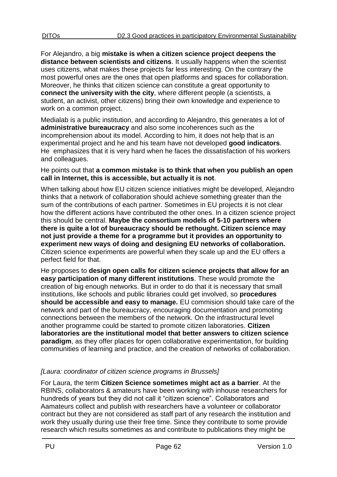For Alejandro, a big **mistake is when a citizen science project deepens the distance between scientists and citizens**. It usually happens when the scientist uses citizens, what makes these projects far less interesting. On the contrary the most powerful ones are the ones that open platforms and spaces for collaboration. Moreover, he thinks that citizen science can constitute a great opportunity to **connect the university with the city**, where different people (a scientists, a student, an activist, other citizens) bring their own knowledge and experience to work on a common project.

Medialab is a public institution, and according to Alejandro, this generates a lot of **administrative bureaucracy** and also some incoherences such as the incomprehension about its model. According to him, it does not help that is an experimental project and he and his team have not developed **good indicators**. He emphasizes that it is very hard when he faces the dissatisfaction of his workers and colleagues.

He points out that **a common mistake is to think that when you publish an open call in Internet, this is accessible, but actually it is not**.

When talking about how EU citizen science initiatives might be developed, Alejandro thinks that a network of collaboration should achieve something greater than the sum of the contributions of each partner. Sometimes in EU projects it is not clear how the different actions have contributed the other ones. In a citizen science project this should be central. **Maybe the consortium models of 5-10 partners where there is quite a lot of bureaucracy should be rethought. Citizen science may not just provide a theme for a programme but it provides an opportunity to experiment new ways of doing and designing EU networks of collaboration.** Citizen science experiments are powerful when they scale up and the EU offers a perfect field for that.

He proposes to **design open calls for citizen science projects that allow for an easy participation of many different institutions**. These would promote the creation of big enough networks. But in order to do that it is necessary that small institutions, like schools and public libraries could get involved, so **procedures should be accessible and easy to manage.** EU commision should take care of the network and part of the bureaucracy, encouraging documentation and promoting connections between the members of the network. On the infrastructural level another programme could be started to promote citizen laboratories. **Citizen laboratories are the institutional model that better answers to citizen science paradigm**, as they offer places for open collaborative experimentation, for building communities of learning and practice, and the creation of networks of collaboration.

# *[Laura: coordinator of citizen science programs in Brussels]*

For Laura, the term **Citizen Science sometimes might act as a barrier**. At the RBINS, collaborators & amateurs have been working with inhouse researchers for hundreds of years but they did not call it "citizen science". Collaborators and Aamateurs collect and publish with researchers have a volunteer or collaborator contract but they are not considered as staff part of any research the institution and work they usually during use their free time. Since they contribute to some provide research which results sometimes as and contribute to publications they might be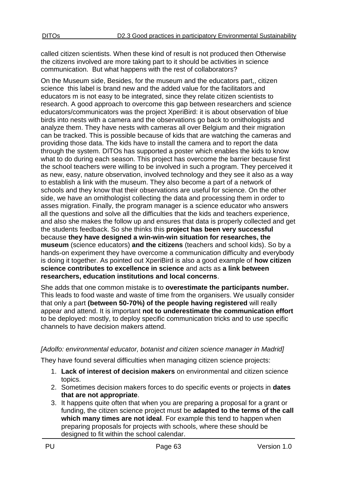called citizen scientists. When these kind of result is not produced then Otherwise the citizens involved are more taking part to it should be activities in science communication. But what happens with the rest of collaborators?

On the Museum side, Besides, for the museum and the educators part,, citizen science this label is brand new and the added value for the facilitators and educators m is not easy to be integrated, since they relate citizen scientists to research. A good approach to overcome this gap between researchers and science educators/communicators was the project XperiBird: it is about observation of blue birds into nests with a camera and the observations go back to ornithologists and analyze them. They have nests with cameras all over Belgium and their migration can be tracked. This is possible because of kids that are watching the cameras and providing those data. The kids have to install the camera and to report the data through the system. DITOs has supported a poster which enables the kids to know what to do during each season. This project has overcome the barrier because first the school teachers were willing to be involved in such a program. They perceived it as new, easy, nature observation, involved technology and they see it also as a way to establish a link with the museum. They also become a part of a network of schools and they know that their observations are useful for science. On the other side, we have an ornithologist collecting the data and processing them in order to asses migration. Finally, the program manager is a science educator who answers all the questions and solve all the difficulties that the kids and teachers experience, and also she makes the follow up and ensures that data is properly collected and get the students feedback. So she thinks this **project has been very successful** because **they have designed a win-win-win situation for researches, the museum** (science educators) **and the citizens** (teachers and school kids). So by a hands-on experiment they have overcome a communication difficulty and everybody is doing it together. As pointed out XperiBird is also a good example of **how citizen science contributes to excellence in science** and acts as **a link between researchers, education institutions and local concerns**.

She adds that one common mistake is to **overestimate the participants number.** This leads to food waste and waste of time from the organisers. We usually consider that only a part **(between 50-70%) of the people having registered** will really appear and attend. It is important **not to underestimate the communication effort** to be deployed: mostly, to deploy specific communication tricks and to use specific channels to have decision makers attend.

### *[Adolfo: environmental educator, botanist and citizen science manager in Madrid]*

They have found several difficulties when managing citizen science projects:

- 1. **Lack of interest of decision makers** on environmental and citizen science topics.
- 2. Sometimes decision makers forces to do specific events or projects in **dates that are not appropriate**.
- 3. It happens quite often that when you are preparing a proposal for a grant or funding, the citizen science project must be **adapted to the terms of the call which many times are not ideal**. For example this tend to happen when preparing proposals for projects with schools, where these should be designed to fit within the school calendar.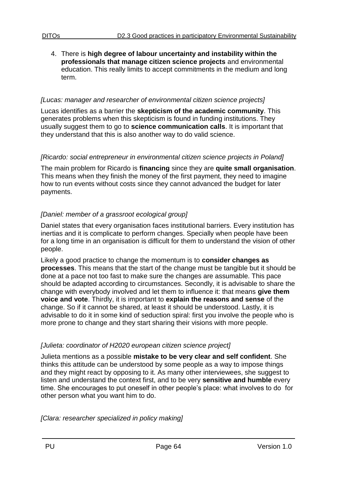4. There is **high degree of labour uncertainty and instability within the professionals that manage citizen science projects** and environmental education. This really limits to accept commitments in the medium and long term.

#### *[Lucas: manager and researcher of environmental citizen science projects]*

Lucas identifies as a barrier the **skepticism of the academic community**. This generates problems when this skepticism is found in funding institutions. They usually suggest them to go to **science communication calls**. It is important that they understand that this is also another way to do valid science.

#### *[Ricardo: social entrepreneur in environmental citizen science projects in Poland]*

The main problem for Ricardo is **financing** since they are **quite small organisation**. This means when they finish the money of the first payment, they need to imagine how to run events without costs since they cannot advanced the budget for later payments.

### *[Daniel: member of a grassroot ecological group]*

Daniel states that every organisation faces institutional barriers. Every institution has inertias and it is complicate to perform changes. Specially when people have been for a long time in an organisation is difficult for them to understand the vision of other people.

Likely a good practice to change the momentum is to **consider changes as processes**. This means that the start of the change must be tangible but it should be done at a pace not too fast to make sure the changes are assumable. This pace should be adapted according to circumstances. Secondly, it is advisable to share the change with everybody involved and let them to influence it: that means **give them voice and vote**. Thirdly, it is important to **explain the reasons and sense** of the change. So if it cannot be shared, at least it should be understood. Lastly, it is advisable to do it in some kind of seduction spiral: first you involve the people who is more prone to change and they start sharing their visions with more people.

### *[Julieta: coordinator of H2020 european citizen science project]*

Julieta mentions as a possible **mistake to be very clear and self confident**. She thinks this attitude can be understood by some people as a way to impose things and they might react by opposing to it. As many other interviewees, she suggest to listen and understand the context first, and to be very **sensitive and humble** every time. She encourages to put oneself in other people's place: what involves to do for other person what you want him to do.

*[Clara: researcher specialized in policy making]*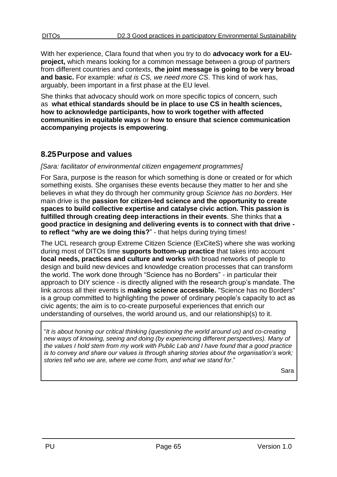With her experience, Clara found that when you try to do **advocacy work for a EUproject,** which means looking for a common message between a group of partners from different countries and contexts, **the joint message is going to be very broad and basic.** For example: *what is CS, we need more CS*. This kind of work has, arguably, been important in a first phase at the EU level.

She thinks that advocacy should work on more specific topics of concern, such as **what ethical standards should be in place to use CS in health sciences, how to acknowledge participants, how to work together with affected communities in equitable ways** or **how to ensure that science communication accompanying projects is empowering**.

# <span id="page-64-0"></span>**8.25Purpose and values**

#### *[Sara: facilitator of environmental citizen engagement programmes]*

For Sara, purpose is the reason for which something is done or created or for which something exists. She organises these events because they matter to her and she believes in what they do through her community group *Science has no borders*. Her main drive is the **passion for citizen-led science and the opportunity to create spaces to build collective expertise and catalyse civic action. This passion is fulfilled through creating deep interactions in their events**. She thinks that **a good practice in designing and delivering events is to connect with that drive to reflect "why are we doing this?**" - that helps during trying times!

The UCL research group Extreme Citizen Science (ExCiteS) where she was working during most of DITOs time **supports bottom-up practice** that takes into account **local needs, practices and culture and works** with broad networks of people to design and build new devices and knowledge creation processes that can transform the world. The work done through "Science has no Borders" - in particular their approach to DIY science - is directly aligned with the research group's mandate. The link across all their events is **making science accessible.** "Science has no Borders" is a group committed to highlighting the power of ordinary people's capacity to act as civic agents; the aim is to co-create purposeful experiences that enrich our understanding of ourselves, the world around us, and our relationship(s) to it.

"*It is about honing our critical thinking (questioning the world around us) and co-creating new ways of knowing, seeing and doing (by experiencing different perspectives). Many of the values I hold stem from my work with Public Lab and I have found that a good practice is to convey and share our values is through sharing stories about the organisation's work; stories tell who we are, where we come from, and what we stand for*."

Sara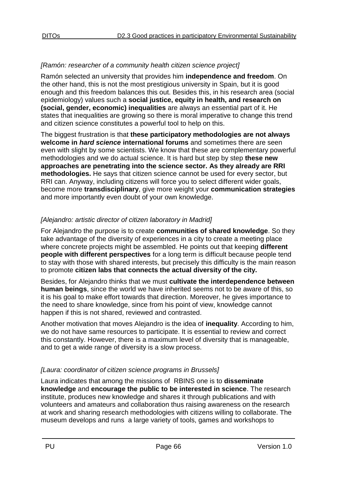#### *[Ramón: researcher of a community health citizen science project]*

Ramón selected an university that provides him **independence and freedom**. On the other hand, this is not the most prestigious university in Spain, but it is good enough and this freedom balances this out. Besides this, in his research area (social epidemiology) values such a **social justice, equity in health, and research on (social, gender, economic) inequalities** are always an essential part of it. He states that inequalities are growing so there is moral imperative to change this trend and citizen science constitutes a powerful tool to help on this.

The biggest frustration is that **these participatory methodologies are not always welcome in** *hard science* **international forums** and sometimes there are seen even with slight by some scientists. We know that these are complementary powerful methodologies and we do actual science. It is hard but step by step **these new approaches are penetrating into the science sector. As they already are RRI methodologies.** He says that citizen science cannot be used for every sector, but RRI can. Anyway, including citizens will force you to select different wider goals, become more **transdisciplinary**, give more weight your **communication strategies**  and more importantly even doubt of your own knowledge.

### *[Alejandro: artistic director of citizen laboratory in Madrid]*

For Alejandro the purpose is to create **communities of shared knowledge**. So they take advantage of the diversity of experiences in a city to create a meeting place where concrete projects might be assembled. He points out that keeping **different people with different perspectives** for a long term is difficult because people tend to stay with those with shared interests, but precisely this difficulty is the main reason to promote **citizen labs that connects the actual diversity of the city.**

Besides, for Alejandro thinks that we must **cultivate the interdependence between human beings**, since the world we have inherited seems not to be aware of this, so it is his goal to make effort towards that direction. Moreover, he gives importance to the need to share knowledge, since from his point of view, knowledge cannot happen if this is not shared, reviewed and contrasted.

Another motivation that moves Alejandro is the idea of **inequality**. According to him, we do not have same resources to participate. It is essential to review and correct this constantly. However, there is a maximum level of diversity that is manageable, and to get a wide range of diversity is a slow process.

### *[Laura: coordinator of citizen science programs in Brussels]*

Laura indicates that among the missions of RBINS one is to **disseminate knowledge** and **encourage the public to be interested in science**. The research institute, produces new knowledge and shares it through publications and with volunteers and amateurs and collaboration thus raising awareness on the research at work and sharing research methodologies with citizens willing to collaborate. The museum develops and runs a large variety of tools, games and workshops to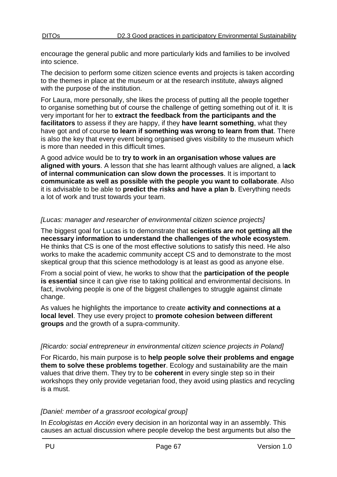encourage the general public and more particularly kids and families to be involved into science.

The decision to perform some citizen science events and projects is taken according to the themes in place at the museum or at the research institute, always aligned with the purpose of the institution.

For Laura, more personally, she likes the process of putting all the people together to organise something but of course the challenge of getting something out of it. It is very important for her to **extract the feedback from the participants and the facilitators** to assess if they are happy, if they **have learnt something**, what they have got and of course **to learn if something was wrong to learn from that**. There is also the key that every event being organised gives visibility to the museum which is more than needed in this difficult times.

A good advice would be to **try to work in an organisation whose values are aligned with yours**. A lesson that she has learnt although values are aligned, a l**ack of internal communication can slow down the processes**. It is important to **communicate as well as possible with the people you want to collaborate**. Also it is advisable to be able to **predict the risks and have a plan b**. Everything needs a lot of work and trust towards your team.

### *[Lucas: manager and researcher of environmental citizen science projects]*

The biggest goal for Lucas is to demonstrate that **scientists are not getting all the necessary information to understand the challenges of the whole ecosystem**. He thinks that CS is one of the most effective solutions to satisfy this need. He also works to make the academic community accept CS and to demonstrate to the most skeptical group that this science methodology is at least as good as anyone else.

From a social point of view, he works to show that the **participation of the people is essential** since it can give rise to taking political and environmental decisions. In fact, involving people is one of the biggest challenges to struggle against climate change.

As values he highlights the importance to create **activity and connections at a local level**. They use every project to **promote cohesion between different groups** and the growth of a supra-community.

#### *[Ricardo: social entrepreneur in environmental citizen science projects in Poland]*

For Ricardo, his main purpose is to **help people solve their problems and engage them to solve these problems together**. Ecology and sustainability are the main values that drive them. They try to be **coherent** in every single step so in their workshops they only provide vegetarian food, they avoid using plastics and recycling is a must.

#### *[Daniel: member of a grassroot ecological group]*

In *Ecologistas en Acción* every decision in an horizontal way in an assembly. This causes an actual discussion where people develop the best arguments but also the